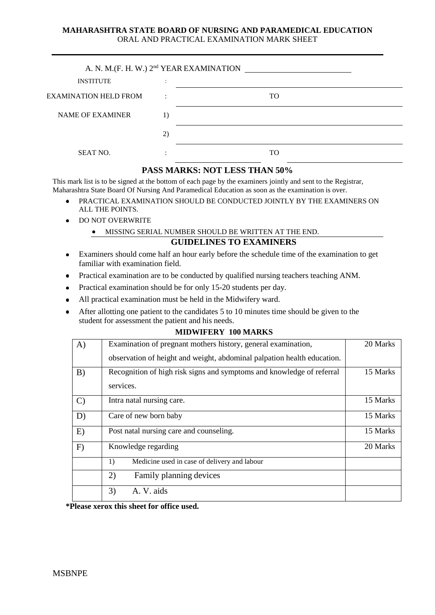#### **MAHARASHTRA STATE BOARD OF NURSING AND PARAMEDICAL EDUCATION** ORAL AND PRACTICAL EXAMINATION MARK SHEET

| A. N. M.(F. H. W.) 2 <sup>nd</sup> YEAR EXAMINATION |                          |    |  |  |  |  |  |  |
|-----------------------------------------------------|--------------------------|----|--|--|--|--|--|--|
| <b>INSTITUTE</b>                                    | $\overline{\phantom{a}}$ |    |  |  |  |  |  |  |
| <b>EXAMINATION HELD FROM</b>                        |                          | TO |  |  |  |  |  |  |
| <b>NAME OF EXAMINER</b>                             |                          |    |  |  |  |  |  |  |
|                                                     | 2)                       |    |  |  |  |  |  |  |
| <b>SEAT NO.</b>                                     |                          | TO |  |  |  |  |  |  |

#### **PASS MARKS: NOT LESS THAN 50%**

This mark list is to be signed at the bottom of each page by the examiners jointly and sent to the Registrar, Maharashtra State Board Of Nursing And Paramedical Education as soon as the examination is over.

- PRACTICAL EXAMINATION SHOULD BE CONDUCTED JOINTLY BY THE EXAMINERS ON  $\bullet$ ALL THE POINTS.
- DO NOT OVERWRITE  $\bullet$ 
	- MISSING SERIAL NUMBER SHOULD BE WRITTEN AT THE END.

#### **GUIDELINES TO EXAMINERS**

- Examiners should come half an hour early before the schedule time of the examination to get  $\bullet$ familiar with examination field.
- Practical examination are to be conducted by qualified nursing teachers teaching ANM.  $\bullet$
- Practical examination should be for only 15-20 students per day.  $\bullet$
- All practical examination must be held in the Midwifery ward.  $\bullet$
- After allotting one patient to the candidates 5 to 10 minutes time should be given to the  $\bullet$ student for assessment the patient and his needs.

| A)            | Examination of pregnant mothers history, general examination,           | 20 Marks |
|---------------|-------------------------------------------------------------------------|----------|
|               | observation of height and weight, abdominal palpation health education. |          |
| B)            | Recognition of high risk signs and symptoms and knowledge of referral   | 15 Marks |
|               | services.                                                               |          |
| $\mathcal{C}$ | Intra natal nursing care.                                               | 15 Marks |
| D)            | Care of new born baby                                                   | 15 Marks |
| E)            | Post natal nursing care and counseling.                                 | 15 Marks |
| F)            | Knowledge regarding                                                     | 20 Marks |
|               | Medicine used in case of delivery and labour<br>1)                      |          |
|               | 2)<br>Family planning devices                                           |          |
|               | A. V. aids<br>3)                                                        |          |

#### **MIDWIFERY 100 MARKS**

**\*Please xerox this sheet for office used.**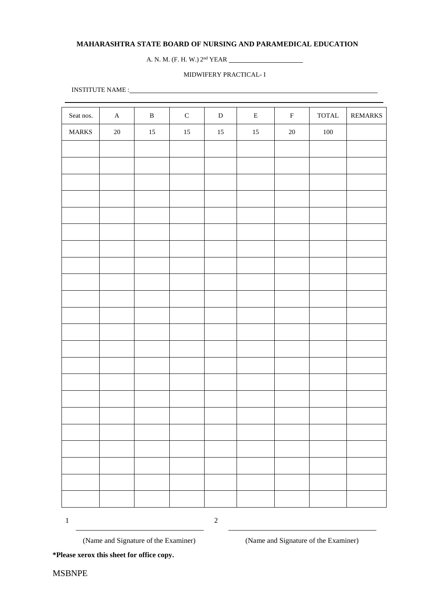#### **MAHARASHTRA STATE BOARD OF NURSING AND PARAMEDICAL EDUCATION**

A. N. M. (F. H. W.) 2 nd YEAR

#### MIDWIFERY PRACTICAL- I

INSTITUTE NAME :

| Seat nos.    | $\mathbf A$ | $\, {\bf B}$ | ${\bf C}$ | ${\bf D}$ | ${\bf E}$ | $\mathbf F$ | $\ensuremath{\mathsf{TOTAL}}$ | REMARKS |
|--------------|-------------|--------------|-----------|-----------|-----------|-------------|-------------------------------|---------|
| <b>MARKS</b> | $20\,$      | $15\,$       | $15\,$    | $15\,$    | $15\,$    | $20\,$      | $100\,$                       |         |
|              |             |              |           |           |           |             |                               |         |
|              |             |              |           |           |           |             |                               |         |
|              |             |              |           |           |           |             |                               |         |
|              |             |              |           |           |           |             |                               |         |
|              |             |              |           |           |           |             |                               |         |
|              |             |              |           |           |           |             |                               |         |
|              |             |              |           |           |           |             |                               |         |
|              |             |              |           |           |           |             |                               |         |
|              |             |              |           |           |           |             |                               |         |
|              |             |              |           |           |           |             |                               |         |
|              |             |              |           |           |           |             |                               |         |
|              |             |              |           |           |           |             |                               |         |
|              |             |              |           |           |           |             |                               |         |
|              |             |              |           |           |           |             |                               |         |
|              |             |              |           |           |           |             |                               |         |
|              |             |              |           |           |           |             |                               |         |
|              |             |              |           |           |           |             |                               |         |
|              |             |              |           |           |           |             |                               |         |
|              |             |              |           |           |           |             |                               |         |
|              |             |              |           |           |           |             |                               |         |
|              |             |              |           |           |           |             |                               |         |
|              |             |              |           |           |           |             |                               |         |

1 2

(Name and Signature of the Examiner) (Name and Signature of the Examiner)

**\*Please xerox this sheet for office copy.**

MSBNPE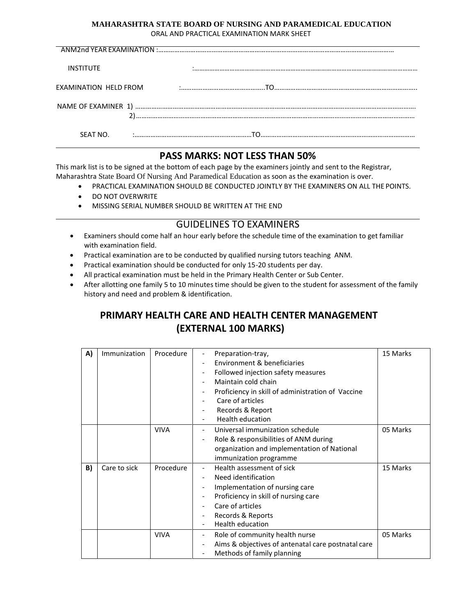#### **MAHARASHTRA STATE BOARD OF NURSING AND PARAMEDICAL EDUCATION** ORAL AND PRACTICAL EXAMINATION MARK SHEET

| <b>INSTITUTE</b>      |  |
|-----------------------|--|
|                       |  |
|                       |  |
|                       |  |
| EXAMINATION HELD FROM |  |
|                       |  |
|                       |  |
|                       |  |
|                       |  |
|                       |  |
|                       |  |
|                       |  |
| SEAT NO.              |  |
|                       |  |
|                       |  |

#### **PASS MARKS: NOT LESS THAN 50%**

This mark list is to be signed at the bottom of each page by the examiners jointly and sent to the Registrar, Maharashtra State Board Of Nursing And Paramedical Education as soon as the examination is over.

- PRACTICAL EXAMINATION SHOULD BE CONDUCTED JOINTLY BY THE EXAMINERS ON ALL THE POINTS.
- DO NOT OVERWRITE
- MISSING SERIAL NUMBER SHOULD BE WRITTEN AT THE END

#### GUIDELINES TO EXAMINERS

- Examiners should come half an hour early before the schedule time of the examination to get familiar with examination field.
- Practical examination are to be conducted by qualified nursing tutors teaching ANM.
- Practical examination should be conducted for only 15-20 students per day.
- All practical examination must be held in the Primary Health Center or Sub Center.
- After allotting one family 5 to 10 minutes time should be given to the student for assessment of the family history and need and problem & identification.

#### **PRIMARY HEALTH CARE AND HEALTH CENTER MANAGEMENT (EXTERNAL 100 MARKS)**

| A) | <b>Immunization</b> | Procedure   | Preparation-tray,<br>$\overline{\phantom{a}}$      | 15 Marks |
|----|---------------------|-------------|----------------------------------------------------|----------|
|    |                     |             | Environment & beneficiaries                        |          |
|    |                     |             | Followed injection safety measures                 |          |
|    |                     |             | Maintain cold chain                                |          |
|    |                     |             | Proficiency in skill of administration of Vaccine  |          |
|    |                     |             | Care of articles                                   |          |
|    |                     |             | Records & Report                                   |          |
|    |                     |             | Health education                                   |          |
|    |                     | <b>VIVA</b> | Universal immunization schedule                    | 05 Marks |
|    |                     |             | Role & responsibilities of ANM during              |          |
|    |                     |             | organization and implementation of National        |          |
|    |                     |             | immunization programme                             |          |
| B) | Care to sick        | Procedure   | Health assessment of sick                          | 15 Marks |
|    |                     |             | Need identification                                |          |
|    |                     |             | Implementation of nursing care                     |          |
|    |                     |             | Proficiency in skill of nursing care               |          |
|    |                     |             | Care of articles                                   |          |
|    |                     |             | Records & Reports                                  |          |
|    |                     |             | <b>Health education</b>                            |          |
|    |                     | <b>VIVA</b> | Role of community health nurse                     | 05 Marks |
|    |                     |             | Aims & objectives of antenatal care postnatal care |          |
|    |                     |             | Methods of family planning                         |          |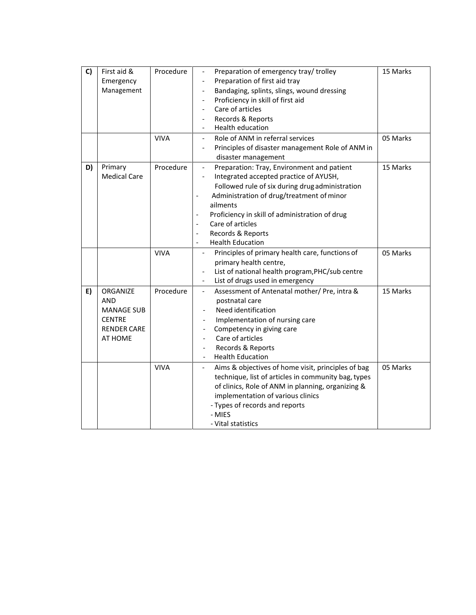| C) | First aid &         | Procedure   | Preparation of emergency tray/ trolley<br>$\overline{\phantom{0}}$             | 15 Marks |
|----|---------------------|-------------|--------------------------------------------------------------------------------|----------|
|    | Emergency           |             | Preparation of first aid tray                                                  |          |
|    | Management          |             | Bandaging, splints, slings, wound dressing                                     |          |
|    |                     |             | Proficiency in skill of first aid                                              |          |
|    |                     |             | Care of articles                                                               |          |
|    |                     |             | Records & Reports                                                              |          |
|    |                     |             | Health education                                                               |          |
|    |                     | <b>VIVA</b> | Role of ANM in referral services<br>$\overline{\phantom{a}}$                   | 05 Marks |
|    |                     |             | Principles of disaster management Role of ANM in<br>$\overline{\phantom{a}}$   |          |
|    |                     |             | disaster management                                                            |          |
| D) | Primary             | Procedure   | Preparation: Tray, Environment and patient<br>$\blacksquare$                   | 15 Marks |
|    | <b>Medical Care</b> |             | Integrated accepted practice of AYUSH,                                         |          |
|    |                     |             | Followed rule of six during drug administration                                |          |
|    |                     |             | Administration of drug/treatment of minor                                      |          |
|    |                     |             | ailments                                                                       |          |
|    |                     |             | Proficiency in skill of administration of drug                                 |          |
|    |                     |             | Care of articles<br>$\overline{\phantom{a}}$                                   |          |
|    |                     |             | Records & Reports<br>$\overline{\phantom{a}}$                                  |          |
|    |                     |             | <b>Health Education</b><br>$\overline{\phantom{a}}$                            |          |
|    |                     | <b>VIVA</b> | Principles of primary health care, functions of<br>$\overline{\phantom{a}}$    | 05 Marks |
|    |                     |             | primary health centre,                                                         |          |
|    |                     |             | List of national health program, PHC/sub centre<br>$\overline{\phantom{a}}$    |          |
|    |                     |             | List of drugs used in emergency<br>$\overline{\phantom{a}}$                    |          |
| E) | ORGANIZE            | Procedure   | Assessment of Antenatal mother/ Pre, intra &<br>$\overline{\phantom{a}}$       | 15 Marks |
|    | <b>AND</b>          |             | postnatal care                                                                 |          |
|    | <b>MANAGE SUB</b>   |             | Need identification                                                            |          |
|    | <b>CENTRE</b>       |             | Implementation of nursing care                                                 |          |
|    | <b>RENDER CARE</b>  |             | Competency in giving care                                                      |          |
|    | AT HOME             |             | Care of articles                                                               |          |
|    |                     |             | Records & Reports                                                              |          |
|    |                     |             | <b>Health Education</b>                                                        |          |
|    |                     | <b>VIVA</b> | Aims & objectives of home visit, principles of bag<br>$\overline{\phantom{a}}$ | 05 Marks |
|    |                     |             | technique, list of articles in community bag, types                            |          |
|    |                     |             | of clinics, Role of ANM in planning, organizing &                              |          |
|    |                     |             | implementation of various clinics                                              |          |
|    |                     |             | - Types of records and reports                                                 |          |
|    |                     |             | - MIES                                                                         |          |
|    |                     |             | - Vital statistics                                                             |          |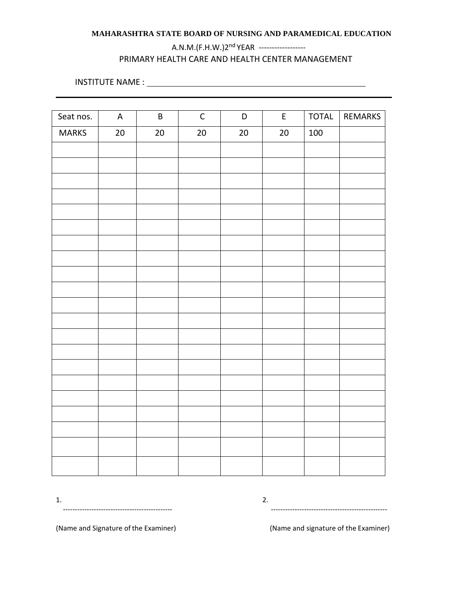#### **MAHARASHTRA STATE BOARD OF NURSING AND PARAMEDICAL EDUCATION**

#### A.N.M.(F.H.W.)2<sup>nd</sup> YEAR -------------------PRIMARY HEALTH CARE AND HEALTH CENTER MANAGEMENT

INSTITUTE NAME :

| Seat nos.    | $\boldsymbol{\mathsf{A}}$ | $\sf B$ | $\mathsf{C}$ | $\mathsf D$ | $\mathsf{E}$ | TOTAL   | REMARKS |
|--------------|---------------------------|---------|--------------|-------------|--------------|---------|---------|
| <b>MARKS</b> | 20                        | 20      | $20\,$       | $20\,$      | $20\,$       | $100\,$ |         |
|              |                           |         |              |             |              |         |         |
|              |                           |         |              |             |              |         |         |
|              |                           |         |              |             |              |         |         |
|              |                           |         |              |             |              |         |         |
|              |                           |         |              |             |              |         |         |
|              |                           |         |              |             |              |         |         |
|              |                           |         |              |             |              |         |         |
|              |                           |         |              |             |              |         |         |
|              |                           |         |              |             |              |         |         |
|              |                           |         |              |             |              |         |         |
|              |                           |         |              |             |              |         |         |
|              |                           |         |              |             |              |         |         |
|              |                           |         |              |             |              |         |         |
|              |                           |         |              |             |              |         |         |
|              |                           |         |              |             |              |         |         |
|              |                           |         |              |             |              |         |         |
|              |                           |         |              |             |              |         |         |
|              |                           |         |              |             |              |         |         |
|              |                           |         |              |             |              |         |         |
|              |                           |         |              |             |              |         |         |
|              |                           |         |              |             |              |         |         |
|              |                           |         |              |             |              |         |         |

 $1.$  2. ---------------------------------------------- -------------------------------------------------

(Name and Signature of the Examiner) (Name and signature of the Examiner)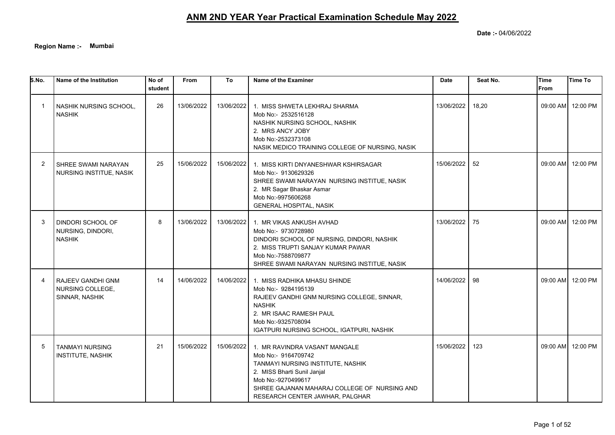**Date :-** 04/06/2022

**Region Name :- Mumbai**

| 5.No.          | Name of the Institution                                 | No of<br>student | <b>From</b> | To         | Name of the Examiner                                                                                                                                                                                                              | <b>Date</b> | Seat No. | <b>Time</b><br><b>From</b> | <b>Time To</b>    |
|----------------|---------------------------------------------------------|------------------|-------------|------------|-----------------------------------------------------------------------------------------------------------------------------------------------------------------------------------------------------------------------------------|-------------|----------|----------------------------|-------------------|
|                | NASHIK NURSING SCHOOL,<br><b>NASHIK</b>                 | 26               | 13/06/2022  | 13/06/2022 | 1. MISS SHWETA LEKHRAJ SHARMA<br>Mob No:- 2532516128<br>NASHIK NURSING SCHOOL, NASHIK<br>2. MRS ANCY JOBY<br>Mob No:-2532373108<br>NASIK MEDICO TRAINING COLLEGE OF NURSING, NASIK                                                | 13/06/2022  | 18,20    | 09:00 AM                   | 12:00 PM          |
| $\overline{2}$ | SHREE SWAMI NARAYAN<br>NURSING INSTITUE, NASIK          | 25               | 15/06/2022  | 15/06/2022 | 1. MISS KIRTI DNYANESHWAR KSHIRSAGAR<br>Mob No:- 9130629326<br>SHREE SWAMI NARAYAN NURSING INSTITUE, NASIK<br>2. MR Sagar Bhaskar Asmar<br>Mob No:-9975606268<br><b>GENERAL HOSPITAL, NASIK</b>                                   | 15/06/2022  | 52       | 09:00 AM                   | 12:00 PM          |
| -3             | DINDORI SCHOOL OF<br>NURSING, DINDORI,<br><b>NASHIK</b> | 8                | 13/06/2022  | 13/06/2022 | 1. MR VIKAS ANKUSH AVHAD<br>Mob No:- 9730728980<br>DINDORI SCHOOL OF NURSING, DINDORI, NASHIK<br>2. MISS TRUPTI SANJAY KUMAR PAWAR<br>Mob No:-7588709877<br>SHREE SWAMI NARAYAN NURSING INSTITUE, NASIK                           | 13/06/2022  | 75       |                            | 09:00 AM 12:00 PM |
|                | RAJEEV GANDHI GNM<br>NURSING COLLEGE,<br>SINNAR, NASHIK | 14               | 14/06/2022  | 14/06/2022 | 1. MISS RADHIKA MHASU SHINDE<br>Mob No:- 9284195139<br>RAJEEV GANDHI GNM NURSING COLLEGE, SINNAR,<br><b>NASHIK</b><br>2. MR ISAAC RAMESH PAUL<br>Mob No:-9325708094<br>IGATPURI NURSING SCHOOL, IGATPURI, NASHIK                  | 14/06/2022  | 98       |                            | 09:00 AM 12:00 PM |
| 5              | <b>TANMAYI NURSING</b><br><b>INSTITUTE, NASHIK</b>      | 21               | 15/06/2022  | 15/06/2022 | 1. MR RAVINDRA VASANT MANGALE<br>Mob No:- 9164709742<br>TANMAYI NURSING INSTITUTE, NASHIK<br>2. MISS Bharti Sunil Janjal<br>Mob No:-9270499617<br>SHREE GAJANAN MAHARAJ COLLEGE OF NURSING AND<br>RESEARCH CENTER JAWHAR, PALGHAR | 15/06/2022  | 123      | 09:00 AM                   | 12:00 PM          |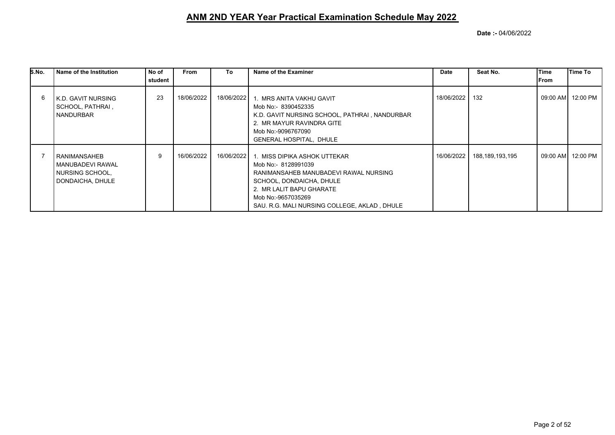| S.No. | l Name of the Institution                                                 | No of   | <b>From</b> | To         | Name of the Examiner                                                                                                                                                                                                       | Date       | Seat No.        | Time | Time To           |
|-------|---------------------------------------------------------------------------|---------|-------------|------------|----------------------------------------------------------------------------------------------------------------------------------------------------------------------------------------------------------------------------|------------|-----------------|------|-------------------|
|       |                                                                           | student |             |            |                                                                                                                                                                                                                            |            |                 | From |                   |
| 6     | l K.D. GAVIT NURSING<br>  SCHOOL, PATHRAI ,<br><b>NANDURBAR</b>           | 23      | 18/06/2022  | 18/06/2022 | 1. MRS ANITA VAKHU GAVIT<br>Mob No:- 8390452335<br>K.D. GAVIT NURSING SCHOOL, PATHRAI, NANDURBAR<br>2. MR MAYUR RAVINDRA GITE<br>Mob No:-9096767090<br><b>GENERAL HOSPITAL, DHULE</b>                                      | 18/06/2022 | 132             |      | 09:00 AM 12:00 PM |
|       | RANIMANSAHEB<br>MANUBADEVI RAWAL<br>  NURSING SCHOOL.<br>DONDAICHA, DHULE | 9       | 16/06/2022  | 16/06/2022 | 1. MISS DIPIKA ASHOK UTTEKAR<br>Mob No:- 8128991039<br>RANIMANSAHEB MANUBADEVI RAWAL NURSING<br>SCHOOL, DONDAICHA, DHULE<br>2. MR LALIT BAPU GHARATE<br>Mob No:-9657035269<br>SAU. R.G. MALI NURSING COLLEGE, AKLAD, DHULE | 16/06/2022 | 188,189,193,195 |      | 09:00 AM 12:00 PM |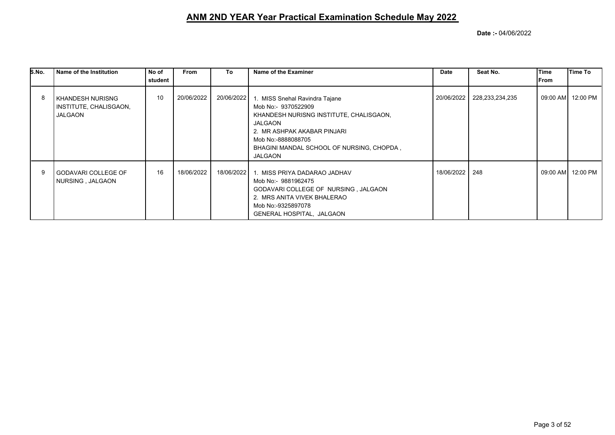| S.No. | Name of the Institution                                      | No of   | <b>From</b> | To         | Name of the Examiner                                                                                                                                                                                                                   | Date       | Seat No.        | Time  | Time To           |
|-------|--------------------------------------------------------------|---------|-------------|------------|----------------------------------------------------------------------------------------------------------------------------------------------------------------------------------------------------------------------------------------|------------|-----------------|-------|-------------------|
|       |                                                              | student |             |            |                                                                                                                                                                                                                                        |            |                 | lFrom |                   |
|       | <b>KHANDESH NURISNG</b><br>INSTITUTE, CHALISGAON,<br>JALGAON | 10      | 20/06/2022  | 20/06/2022 | 1. MISS Snehal Ravindra Tajane<br>Mob No:- 9370522909<br>KHANDESH NURISNG INSTITUTE, CHALISGAON,<br><b>JALGAON</b><br>2. MR ASHPAK AKABAR PINJARI<br>Mob No:-8888088705<br>BHAGINI MANDAL SCHOOL OF NURSING, CHOPDA,<br><b>JALGAON</b> | 20/06/2022 | 228,233,234,235 |       | 09:00 AM 12:00 PM |
| 9     | <b>GODAVARI COLLEGE OF</b><br>NURSING, JALGAON               | 16      | 18/06/2022  | 18/06/2022 | 1. MISS PRIYA DADARAO JADHAV<br>Mob No:- 9881962475<br>GODAVARI COLLEGE OF NURSING, JALGAON<br>2. MRS ANITA VIVEK BHALERAO<br>Mob No:-9325897078<br>GENERAL HOSPITAL, JALGAON                                                          | 18/06/2022 | 248             |       | 09:00 AM 12:00 PM |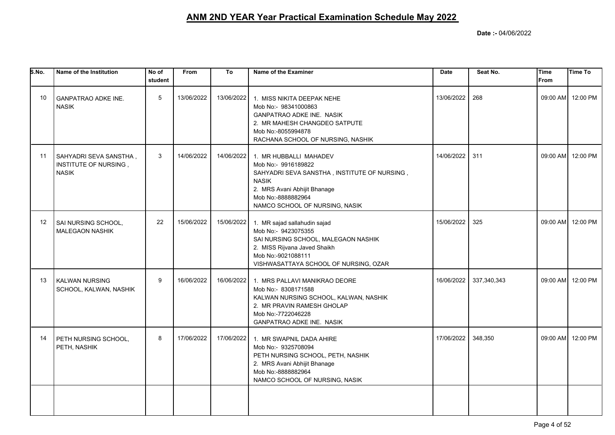| S.No.           | Name of the Institution                                          | No of<br>student | <b>From</b> | To         | Name of the Examiner                                                                                                                                                                                  | <b>Date</b> | Seat No.    | <b>Time</b><br>From | <b>Time To</b>    |
|-----------------|------------------------------------------------------------------|------------------|-------------|------------|-------------------------------------------------------------------------------------------------------------------------------------------------------------------------------------------------------|-------------|-------------|---------------------|-------------------|
| 10 <sup>°</sup> | <b>GANPATRAO ADKE INE.</b><br><b>NASIK</b>                       | 5                | 13/06/2022  | 13/06/2022 | 1. MISS NIKITA DEEPAK NEHE<br>Mob No:- 98341000863<br><b>GANPATRAO ADKE INE. NASIK</b><br>2. MR MAHESH CHANGDEO SATPUTE<br>Mob No:-8055994878<br>RACHANA SCHOOL OF NURSING, NASHIK                    | 13/06/2022  | 268         |                     | 09:00 AM 12:00 PM |
| 11              | SAHYADRI SEVA SANSTHA ,<br>INSTITUTE OF NURSING,<br><b>NASIK</b> | 3                | 14/06/2022  | 14/06/2022 | 1. MR HUBBALLI MAHADEV<br>Mob No:- 9916189822<br>SAHYADRI SEVA SANSTHA, INSTITUTE OF NURSING,<br><b>NASIK</b><br>2. MRS Avani Abhijit Bhanage<br>Mob No:-8888882964<br>NAMCO SCHOOL OF NURSING, NASIK | 14/06/2022  | 311         |                     | 09:00 AM 12:00 PM |
| 12              | SAI NURSING SCHOOL,<br><b>MALEGAON NASHIK</b>                    | 22               | 15/06/2022  | 15/06/2022 | 1. MR sajad sallahudin sajad<br>Mob No:- 9423075355<br>SAI NURSING SCHOOL, MALEGAON NASHIK<br>2. MISS Rijvana Javed Shaikh<br>Mob No:-9021088111<br>VISHWASATTAYA SCHOOL OF NURSING, OZAR             | 15/06/2022  | 325         |                     | 09:00 AM 12:00 PM |
| 13              | KALWAN NURSING<br>SCHOOL, KALWAN, NASHIK                         | 9                | 16/06/2022  |            | 16/06/2022 1. MRS PALLAVI MANIKRAO DEORE<br>Mob No:- 8308171588<br>KALWAN NURSING SCHOOL, KALWAN, NASHIK<br>2. MR PRAVIN RAMESH GHOLAP<br>Mob No:-7722046228<br>GANPATRAO ADKE INE. NASIK             | 16/06/2022  | 337,340,343 |                     | 09:00 AM 12:00 PM |
| 14              | PETH NURSING SCHOOL,<br>PETH, NASHIK                             | 8                | 17/06/2022  | 17/06/2022 | 1. MR SWAPNIL DADA AHIRE<br>Mob No:- 9325708094<br>PETH NURSING SCHOOL, PETH, NASHIK<br>2. MRS Avani Abhijit Bhanage<br>Mob No:-8888882964<br>NAMCO SCHOOL OF NURSING, NASIK                          | 17/06/2022  | 348,350     |                     | 09:00 AM 12:00 PM |
|                 |                                                                  |                  |             |            |                                                                                                                                                                                                       |             |             |                     |                   |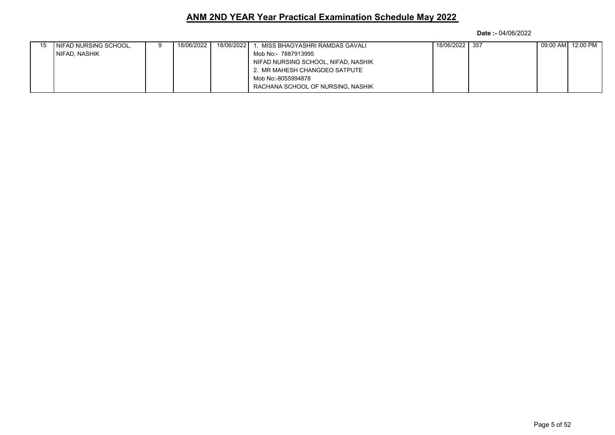| I NIFAD NURSING SCHOOL, | 18/06/2022 | 18/06/2022 | MISS BHAGYASHRI RAMDAS GAVALI       | 18/06/2022 357 |  | 09:00 AM  12:00 PM |
|-------------------------|------------|------------|-------------------------------------|----------------|--|--------------------|
| NIFAD, NASHIK           |            |            | Mob No:- 7887913995                 |                |  |                    |
|                         |            |            | NIFAD NURSING SCHOOL, NIFAD, NASHIK |                |  |                    |
|                         |            |            | 2. MR MAHESH CHANGDEO SATPUTE       |                |  |                    |
|                         |            |            | Mob No:-8055994878                  |                |  |                    |
|                         |            |            | RACHANA SCHOOL OF NURSING, NASHIK   |                |  |                    |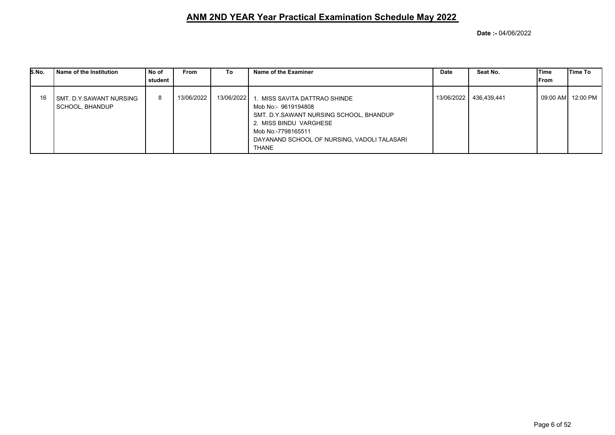| S.No. | Name of the Institution                      | No of<br>student | <b>From</b> | To         | Name of the Examiner                                                                                                                                                                                        | Date       | Seat No.    | <b>Time</b><br>From | Time To            |
|-------|----------------------------------------------|------------------|-------------|------------|-------------------------------------------------------------------------------------------------------------------------------------------------------------------------------------------------------------|------------|-------------|---------------------|--------------------|
| 16    | I SMT. D.Y.SAWANT NURSING<br>SCHOOL, BHANDUP | 8                | 13/06/2022  | 13/06/2022 | MISS SAVITA DATTRAO SHINDE<br>Mob No:- 9619194808<br>SMT. D.Y.SAWANT NURSING SCHOOL, BHANDUP<br>2. MISS BINDU VARGHESE<br>Mob No:-7798165511<br>DAYANAND SCHOOL OF NURSING, VADOLI TALASARI<br><b>THANE</b> | 13/06/2022 | 436,439,441 |                     | 09:00 AM  12:00 PM |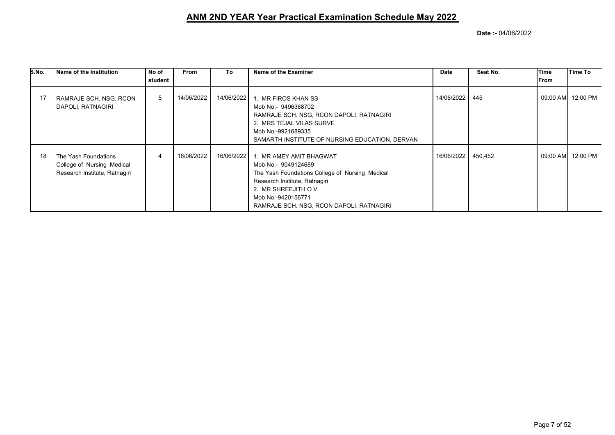| S.No. | Name of the Institution                                                             | No of   | <b>From</b> | To         | Name of the Examiner                                                                                                                                                                                                       | Date           | Seat No. | lTime     | <b>Time To</b> |
|-------|-------------------------------------------------------------------------------------|---------|-------------|------------|----------------------------------------------------------------------------------------------------------------------------------------------------------------------------------------------------------------------------|----------------|----------|-----------|----------------|
|       |                                                                                     | student |             |            |                                                                                                                                                                                                                            |                |          | From      |                |
|       | RAMRAJE SCH. NSG, RCON<br>DAPOLI, RATNAGIRI                                         | 5       | 14/06/2022  | 14/06/2022 | 1. MR FIROS KHAN SS<br>Mob No:- 9496368702<br>RAMRAJE SCH. NSG, RCON DAPOLI, RATNAGIRI<br>2. MRS TEJAL VILAS SURVE<br>Mob No:-9921689335<br>SAMARTH INSTITUTE OF NURSING EDUCATION, DERVAN                                 | 14/06/2022 445 |          | 09:00 AM  | 12:00 PM       |
| 18    | The Yash Foundations<br>College of Nursing Medical<br>Research Institute, Ratnagiri |         | 16/06/2022  | 16/06/2022 | 1. MR AMEY AMIT BHAGWAT<br>Mob No:- 9049124689<br>The Yash Foundations College of Nursing Medical<br>Research Institute, Ratnagiri<br>2. MR SHREEJITH OV<br>Mob No:-9420156771<br>RAMRAJE SCH. NSG, RCON DAPOLI, RATNAGIRI | 16/06/2022     | 450,452  | 09:00 AMI | 12:00 PM       |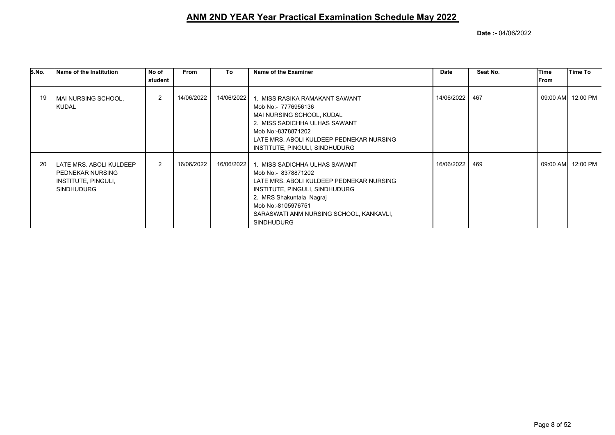| S.No. | l Name of the Institution                                                                      | No of          | From       | To         | Name of the Examiner                                                                                                                                                                                                                                 | Date       | Seat No. | Time  | Time To             |
|-------|------------------------------------------------------------------------------------------------|----------------|------------|------------|------------------------------------------------------------------------------------------------------------------------------------------------------------------------------------------------------------------------------------------------------|------------|----------|-------|---------------------|
|       |                                                                                                | student        |            |            |                                                                                                                                                                                                                                                      |            |          | lFrom |                     |
| 19    | MAI NURSING SCHOOL,<br><b>KUDAL</b>                                                            | $\overline{2}$ | 14/06/2022 | 14/06/2022 | 1. MISS RASIKA RAMAKANT SAWANT<br>Mob No:- 7776956136<br>MAI NURSING SCHOOL, KUDAL<br>2. MISS SADICHHA ULHAS SAWANT<br>Mob No:-8378871202<br>LATE MRS. ABOLI KULDEEP PEDNEKAR NURSING<br>INSTITUTE, PINGULI, SINDHUDURG                              | 14/06/2022 | 467      |       | 09:00 AM   12:00 PM |
| 20    | LATE MRS. ABOLI KULDEEP<br><b>PEDNEKAR NURSING</b><br>INSTITUTE, PINGULI,<br><b>SINDHUDURG</b> | $\overline{2}$ | 16/06/2022 | 16/06/2022 | 1. MISS SADICHHA ULHAS SAWANT<br>Mob No:- 8378871202<br>LATE MRS. ABOLI KULDEEP PEDNEKAR NURSING<br>INSTITUTE, PINGULI, SINDHUDURG<br>2. MRS Shakuntala Nagraj<br>Mob No:-8105976751<br>SARASWATI ANM NURSING SCHOOL, KANKAVLI,<br><b>SINDHUDURG</b> | 16/06/2022 | 469      |       | 09:00 AM   12:00 PM |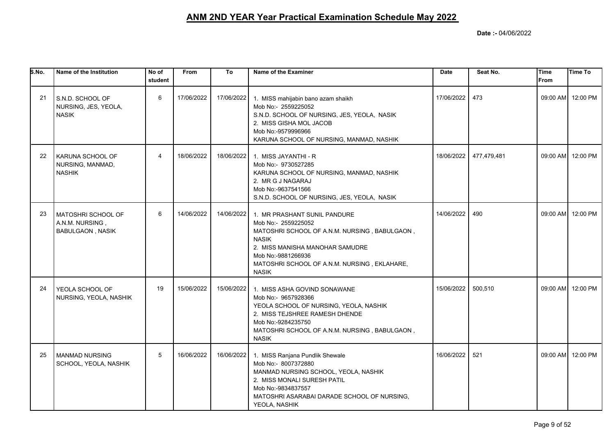| S.No. | Name of the Institution                                          | No of<br>student | <b>From</b> | To         | Name of the Examiner                                                                                                                                                                                                                          | <b>Date</b> | Seat No.    | Time<br><b>From</b> | <b>Time To</b>    |
|-------|------------------------------------------------------------------|------------------|-------------|------------|-----------------------------------------------------------------------------------------------------------------------------------------------------------------------------------------------------------------------------------------------|-------------|-------------|---------------------|-------------------|
| 21    | S.N.D. SCHOOL OF<br>NURSING, JES, YEOLA,<br><b>NASIK</b>         | 6                | 17/06/2022  | 17/06/2022 | 1. MISS mahijabin bano azam shaikh<br>Mob No:- 2559225052<br>S.N.D. SCHOOL OF NURSING, JES, YEOLA, NASIK<br>2. MISS GISHA MOL JACOB<br>Mob No:-9579996966<br>KARUNA SCHOOL OF NURSING, MANMAD, NASHIK                                         | 17/06/2022  | 473         |                     | 09:00 AM 12:00 PM |
| 22    | KARUNA SCHOOL OF<br>NURSING, MANMAD,<br><b>NASHIK</b>            | $\overline{4}$   | 18/06/2022  | 18/06/2022 | 1. MISS JAYANTHI - R<br>Mob No:- 9730527285<br>KARUNA SCHOOL OF NURSING, MANMAD, NASHIK<br>2. MR G J NAGARAJ<br>Mob No:-9637541566<br>S.N.D. SCHOOL OF NURSING, JES, YEOLA, NASIK                                                             | 18/06/2022  | 477,479,481 |                     | 09:00 AM 12:00 PM |
| 23    | MATOSHRI SCHOOL OF<br>A.N.M. NURSING,<br><b>BABULGAON, NASIK</b> | 6                | 14/06/2022  | 14/06/2022 | 1. MR PRASHANT SUNIL PANDURE<br>Mob No:- 2559225052<br>MATOSHRI SCHOOL OF A.N.M. NURSING, BABULGAON,<br><b>NASIK</b><br>2. MISS MANISHA MANOHAR SAMUDRE<br>Mob No:-9881266936<br>MATOSHRI SCHOOL OF A.N.M. NURSING, EKLAHARE,<br><b>NASIK</b> | 14/06/2022  | 490         |                     | 09:00 AM 12:00 PM |
| 24    | YEOLA SCHOOL OF<br>NURSING, YEOLA, NASHIK                        | 19               | 15/06/2022  | 15/06/2022 | 1. MISS ASHA GOVIND SONAWANE<br>Mob No:- 9657928366<br>YEOLA SCHOOL OF NURSING, YEOLA, NASHIK<br>2. MISS TEJSHREE RAMESH DHENDE<br>Mob No:-9284235750<br>MATOSHRI SCHOOL OF A.N.M. NURSING, BABULGAON,<br><b>NASIK</b>                        | 15/06/2022  | 500,510     |                     | 09:00 AM 12:00 PM |
| 25    | <b>MANMAD NURSING</b><br>SCHOOL, YEOLA, NASHIK                   | 5                | 16/06/2022  | 16/06/2022 | 1. MISS Ranjana Pundlik Shewale<br>Mob No:- 8007372880<br>MANMAD NURSING SCHOOL, YEOLA, NASHIK<br>2. MISS MONALI SURESH PATIL<br>Mob No:-9834837557<br>MATOSHRI ASARABAI DARADE SCHOOL OF NURSING,<br>YEOLA, NASHIK                           | 16/06/2022  | 521         |                     | 09:00 AM 12:00 PM |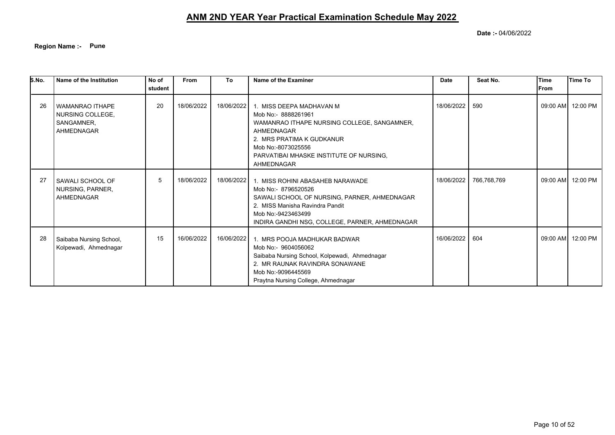**Region Name :- Pune**

| S.No. | Name of the Institution                                                | No of<br>student | <b>From</b> | To         | Name of the Examiner                                                                                                                                                                                                     | <b>Date</b> | Seat No.    | Time<br><b>IFrom</b> | Time To           |
|-------|------------------------------------------------------------------------|------------------|-------------|------------|--------------------------------------------------------------------------------------------------------------------------------------------------------------------------------------------------------------------------|-------------|-------------|----------------------|-------------------|
|       |                                                                        |                  |             |            |                                                                                                                                                                                                                          |             |             |                      |                   |
| 26    | <b>WAMANRAO ITHAPE</b><br>NURSING COLLEGE,<br>SANGAMNER,<br>AHMEDNAGAR | 20               | 18/06/2022  | 18/06/2022 | 1. MISS DEEPA MADHAVAN M<br>Mob No:- 8888261961<br>WAMANRAO ITHAPE NURSING COLLEGE, SANGAMNER,<br>AHMEDNAGAR<br>2. MRS PRATIMA K GUDKANUR<br>Mob No:-8073025556<br>PARVATIBAI MHASKE INSTITUTE OF NURSING.<br>AHMEDNAGAR | 18/06/2022  | 590         |                      | 09:00 AM 12:00 PM |
| 27    | SAWALI SCHOOL OF<br>NURSING, PARNER,<br>AHMEDNAGAR                     | 5                | 18/06/2022  | 18/06/2022 | 1. MISS ROHINI ABASAHEB NARAWADE<br>Mob No:- 8796520526<br>SAWALI SCHOOL OF NURSING, PARNER, AHMEDNAGAR<br>2. MISS Manisha Ravindra Pandit<br>Mob No:-9423463499<br>INDIRA GANDHI NSG, COLLEGE, PARNER, AHMEDNAGAR       | 18/06/2022  | 766,768,769 |                      | 09:00 AM 12:00 PM |
| 28    | Saibaba Nursing School,<br>Kolpewadi, Ahmednagar                       | 15               | 16/06/2022  | 16/06/2022 | 1. MRS POOJA MADHUKAR BADWAR<br>Mob No:- 9604056062<br>Saibaba Nursing School, Kolpewadi, Ahmednagar<br>2. MR RAUNAK RAVINDRA SONAWANE<br>Mob No:-9096445569<br>Praytna Nursing College, Ahmednagar                      | 16/06/2022  | 604         |                      | 09:00 AM 12:00 PM |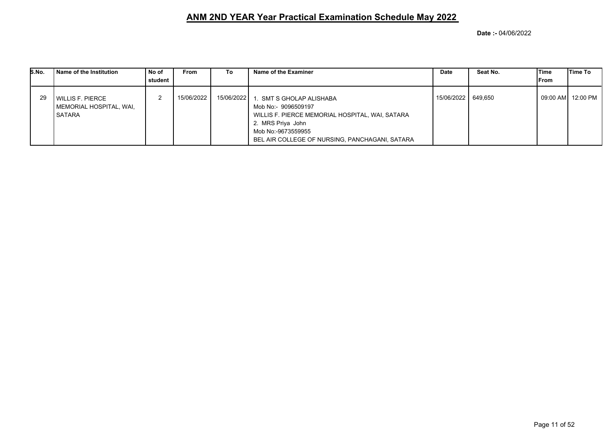| S.No. | l Name of the Institution                                   | No of<br>student | From       | To         | Name of the Examiner                                                                                                                                                                           | Date         | Seat No. | <b>Time</b><br>lFrom | <b>Time To</b>      |
|-------|-------------------------------------------------------------|------------------|------------|------------|------------------------------------------------------------------------------------------------------------------------------------------------------------------------------------------------|--------------|----------|----------------------|---------------------|
| 29    | I WILLIS F. PIERCE<br>  MEMORIAL HOSPITAL, WAI,<br>l SATARA |                  | 15/06/2022 | 15/06/2022 | . SMT S GHOLAP ALISHABA<br>Mob No:- 9096509197<br>WILLIS F. PIERCE MEMORIAL HOSPITAL, WAI, SATARA<br>2. MRS Priya John<br>Mob No:-9673559955<br>BEL AIR COLLEGE OF NURSING, PANCHAGANI, SATARA | 15/06/2022 l | 649.650  |                      | 09:00 AM   12:00 PM |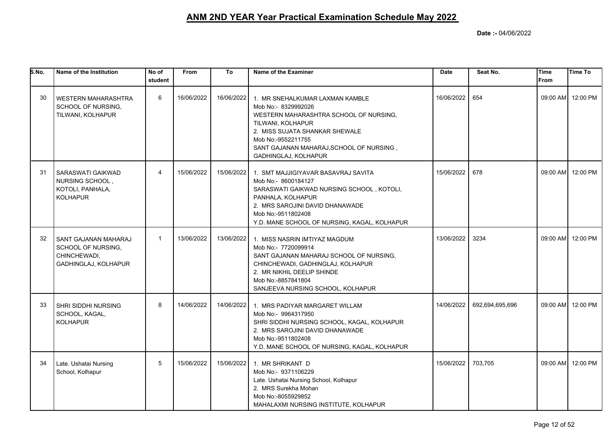| S.No. | Name of the Institution                                                            | No of<br>student | <b>From</b> | To         | Name of the Examiner                                                                                                                                                                                                                              | <b>Date</b> | Seat No.        | <b>Time</b><br>From | <b>Time To</b>    |
|-------|------------------------------------------------------------------------------------|------------------|-------------|------------|---------------------------------------------------------------------------------------------------------------------------------------------------------------------------------------------------------------------------------------------------|-------------|-----------------|---------------------|-------------------|
| 30    | <b>WESTERN MAHARASHTRA</b><br>SCHOOL OF NURSING,<br>TILWANI, KOLHAPUR              | 6                | 16/06/2022  | 16/06/2022 | 1. MR SNEHALKUMAR LAXMAN KAMBLE<br>Mob No:- 8329992026<br>WESTERN MAHARASHTRA SCHOOL OF NURSING,<br>TILWANI, KOLHAPUR<br>2. MISS SUJATA SHANKAR SHEWALE<br>Mob No:-9552211755<br>SANT GAJANAN MAHARAJ, SCHOOL OF NURSING,<br>GADHINGLAJ, KOLHAPUR | 16/06/2022  | 654             |                     | 09:00 AM 12:00 PM |
| 31    | SARASWATI GAIKWAD<br>NURSING SCHOOL,<br>KOTOLI, PANHALA,<br><b>KOLHAPUR</b>        | $\overline{4}$   | 15/06/2022  | 15/06/2022 | 1. SMT MAJJIGIYAVAR BASAVRAJ SAVITA<br>Mob No:- 8600184127<br>SARASWATI GAIKWAD NURSING SCHOOL, KOTOLI,<br>PANHALA, KOLHAPUR<br>2. MRS SAROJINI DAVID DHANAWADE<br>Mob No:-9511802408<br>Y.D. MANE SCHOOL OF NURSING, KAGAL, KOLHAPUR             | 15/06/2022  | 678             |                     | 09:00 AM 12:00 PM |
| 32    | SANT GAJANAN MAHARAJ<br>SCHOOL OF NURSING,<br>CHINCHEWADI,<br>GADHINGLAJ, KOLHAPUR | $\mathbf{1}$     | 13/06/2022  | 13/06/2022 | 1. MISS NASRIN IMTIYAZ MAGDUM<br>Mob No:- 7720099914<br>SANT GAJANAN MAHARAJ SCHOOL OF NURSING,<br>CHINCHEWADI, GADHINGLAJ, KOLHAPUR<br>2. MR NIKHIL DEELIP SHINDE<br>Mob No:-8857841804<br>SANJEEVA NURSING SCHOOL, KOLHAPUR                     | 13/06/2022  | 3234            |                     | 09:00 AM 12:00 PM |
| 33    | <b>SHRI SIDDHI NURSING</b><br>SCHOOL, KAGAL,<br><b>KOLHAPUR</b>                    | 8                | 14/06/2022  | 14/06/2022 | 1. MRS PADIYAR MARGARET WILLAM<br>Mob No:- 9964317950<br>SHRI SIDDHI NURSING SCHOOL, KAGAL, KOLHAPUR<br>2. MRS SAROJINI DAVID DHANAWADE<br>Mob No:-9511802408<br>Y.D. MANE SCHOOL OF NURSING, KAGAL, KOLHAPUR                                     | 14/06/2022  | 692,694,695,696 |                     | 09:00 AM 12:00 PM |
| 34    | Late. Ushatai Nursing<br>School, Kolhapur                                          | 5                | 15/06/2022  | 15/06/2022 | 1. MR SHRIKANT D<br>Mob No:- 9371106229<br>Late. Ushatai Nursing School, Kolhapur<br>2. MRS Surekha Mohan<br>Mob No:-8055929852<br>MAHALAXMI NURSING INSTITUTE, KOLHAPUR                                                                          | 15/06/2022  | 703.705         |                     | 09:00 AM 12:00 PM |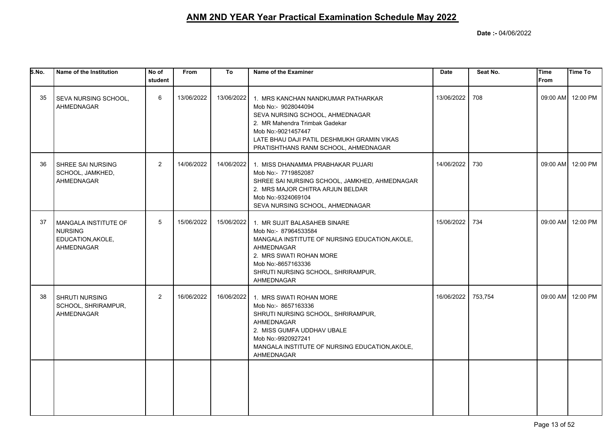| S.No. | Name of the Institution                                                     | No of<br>student | From       | To         | Name of the Examiner                                                                                                                                                                                                                       | <b>Date</b> | Seat No. | Time<br>From | <b>Time To</b>    |
|-------|-----------------------------------------------------------------------------|------------------|------------|------------|--------------------------------------------------------------------------------------------------------------------------------------------------------------------------------------------------------------------------------------------|-------------|----------|--------------|-------------------|
| 35    | SEVA NURSING SCHOOL,<br>AHMEDNAGAR                                          | 6                | 13/06/2022 | 13/06/2022 | 1. MRS KANCHAN NANDKUMAR PATHARKAR<br>Mob No:- 9028044094<br>SEVA NURSING SCHOOL, AHMEDNAGAR<br>2. MR Mahendra Trimbak Gadekar<br>Mob No:-9021457447<br>LATE BHAU DAJI PATIL DESHMUKH GRAMIN VIKAS<br>PRATISHTHANS RANM SCHOOL, AHMEDNAGAR | 13/06/2022  | 708      |              | 09:00 AM 12:00 PM |
| 36    | <b>SHREE SAI NURSING</b><br>SCHOOL, JAMKHED,<br>AHMEDNAGAR                  | $\overline{2}$   | 14/06/2022 | 14/06/2022 | 1. MISS DHANAMMA PRABHAKAR PUJARI<br>Mob No:- 7719852087<br>SHREE SAI NURSING SCHOOL, JAMKHED, AHMEDNAGAR<br>2. MRS MAJOR CHITRA ARJUN BELDAR<br>Mob No:-9324069104<br>SEVA NURSING SCHOOL, AHMEDNAGAR                                     | 14/06/2022  | 730      |              | 09:00 AM 12:00 PM |
| 37    | I MANGALA INSTITUTE OF<br><b>NURSING</b><br>EDUCATION, AKOLE,<br>AHMEDNAGAR | 5                | 15/06/2022 | 15/06/2022 | 1. MR SUJIT BALASAHEB SINARE<br>Mob No:- 87964533584<br>MANGALA INSTITUTE OF NURSING EDUCATION, AKOLE,<br>AHMEDNAGAR<br>2. MRS SWATI ROHAN MORE<br>Mob No:-8657163336<br>SHRUTI NURSING SCHOOL, SHRIRAMPUR,<br>AHMEDNAGAR                  | 15/06/2022  | 734      |              | 09:00 AM 12:00 PM |
| 38    | <b>SHRUTI NURSING</b><br>SCHOOL, SHRIRAMPUR,<br>AHMEDNAGAR                  | $\overline{2}$   | 16/06/2022 | 16/06/2022 | 1. MRS SWATI ROHAN MORE<br>Mob No:- 8657163336<br>SHRUTI NURSING SCHOOL, SHRIRAMPUR,<br>AHMEDNAGAR<br>2. MISS GUMFA UDDHAV UBALE<br>Mob No:-9920927241<br>MANGALA INSTITUTE OF NURSING EDUCATION, AKOLE,<br>AHMEDNAGAR                     | 16/06/2022  | 753,754  |              | 09:00 AM 12:00 PM |
|       |                                                                             |                  |            |            |                                                                                                                                                                                                                                            |             |          |              |                   |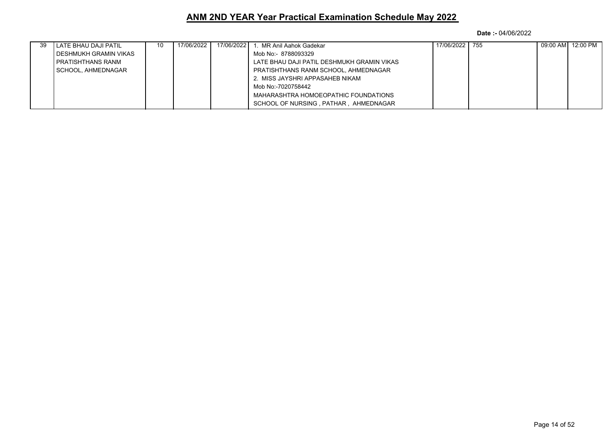| -39 | LATE BHAU DAJI PATIL    | 10 | 17/06/2022 | 17/06/2022 | . MR Anil Aahok Gadekar                    | 17/06/2022 | 755 | 09:00 AM 12:00 PM |
|-----|-------------------------|----|------------|------------|--------------------------------------------|------------|-----|-------------------|
|     | I DESHMUKH GRAMIN VIKAS |    |            |            | Mob No:- 8788093329                        |            |     |                   |
|     | I PRATISHTHANS RANM     |    |            |            | LATE BHAU DAJI PATIL DESHMUKH GRAMIN VIKAS |            |     |                   |
|     | I SCHOOL. AHMEDNAGAR    |    |            |            | PRATISHTHANS RANM SCHOOL, AHMEDNAGAR       |            |     |                   |
|     |                         |    |            |            | 2. MISS JAYSHRI APPASAHEB NIKAM            |            |     |                   |
|     |                         |    |            |            | Mob No:-7020758442                         |            |     |                   |
|     |                         |    |            |            | MAHARASHTRA HOMOEOPATHIC FOUNDATIONS       |            |     |                   |
|     |                         |    |            |            | SCHOOL OF NURSING, PATHAR, AHMEDNAGAR      |            |     |                   |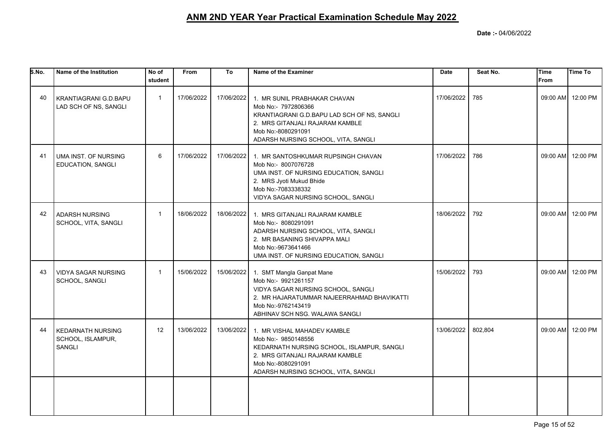| S.No. | Name of the Institution                                        | No of<br>student | From       | To         | Name of the Examiner                                                                                                                                                                               | <b>Date</b> | Seat No. | <b>Time</b><br><b>From</b> | Time To           |
|-------|----------------------------------------------------------------|------------------|------------|------------|----------------------------------------------------------------------------------------------------------------------------------------------------------------------------------------------------|-------------|----------|----------------------------|-------------------|
| 40    | KRANTIAGRANI G.D.BAPU<br>LAD SCH OF NS, SANGLI                 | $\mathbf{1}$     | 17/06/2022 | 17/06/2022 | 1. MR SUNIL PRABHAKAR CHAVAN<br>Mob No:- 7972806366<br>KRANTIAGRANI G.D.BAPU LAD SCH OF NS, SANGLI<br>2. MRS GITANJALI RAJARAM KAMBLE<br>Mob No:-8080291091<br>ADARSH NURSING SCHOOL, VITA, SANGLI | 17/06/2022  | 785      |                            | 09:00 AM 12:00 PM |
| 41    | UMA INST. OF NURSING<br>EDUCATION, SANGLI                      | 6                | 17/06/2022 | 17/06/2022 | 1. MR SANTOSHKUMAR RUPSINGH CHAVAN<br>Mob No:- 8007076728<br>UMA INST. OF NURSING EDUCATION, SANGLI<br>2. MRS Jyoti Mukud Bhide<br>Mob No:-7083338332<br>VIDYA SAGAR NURSING SCHOOL, SANGLI        | 17/06/2022  | 786      |                            | 09:00 AM 12:00 PM |
| 42    | <b>ADARSH NURSING</b><br>SCHOOL, VITA, SANGLI                  | $\mathbf{1}$     | 18/06/2022 | 18/06/2022 | 1. MRS GITANJALI RAJARAM KAMBLE<br>Mob No:- 8080291091<br>ADARSH NURSING SCHOOL, VITA, SANGLI<br>2. MR BASANING SHIVAPPA MALI<br>Mob No:-9673641466<br>UMA INST. OF NURSING EDUCATION, SANGLI      | 18/06/2022  | 792      |                            | 09:00 AM 12:00 PM |
| 43    | <b>VIDYA SAGAR NURSING</b><br>SCHOOL, SANGLI                   | $\mathbf{1}$     | 15/06/2022 | 15/06/2022 | 1. SMT Mangla Ganpat Mane<br>Mob No:- 9921261157<br>VIDYA SAGAR NURSING SCHOOL, SANGLI<br>2. MR HAJARATUMMAR NAJEERRAHMAD BHAVIKATTI<br>Mob No:-9762143419<br>ABHINAV SCH NSG. WALAWA SANGLI       | 15/06/2022  | 793      |                            | 09:00 AM 12:00 PM |
| 44    | <b>KEDARNATH NURSING</b><br>SCHOOL, ISLAMPUR,<br><b>SANGLI</b> | 12               | 13/06/2022 | 13/06/2022 | 1. MR VISHAL MAHADEV KAMBLE<br>Mob No:- 9850148556<br>KEDARNATH NURSING SCHOOL, ISLAMPUR, SANGLI<br>2. MRS GITANJALI RAJARAM KAMBLE<br>Mob No:-8080291091<br>ADARSH NURSING SCHOOL, VITA, SANGLI   | 13/06/2022  | 802,804  |                            | 09:00 AM 12:00 PM |
|       |                                                                |                  |            |            |                                                                                                                                                                                                    |             |          |                            |                   |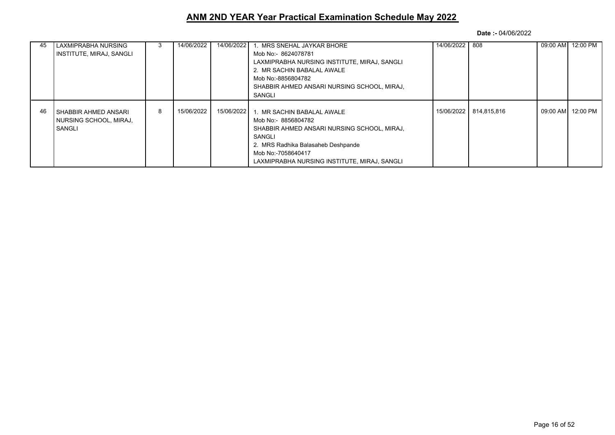| 45 | LAXMIPRABHA NURSING        |   | 14/06/2022 | 14/06/2022 | . MRS SNEHAL JAYKAR BHORE                    | 14/06/2022 | 808         | 09:00 AM 12:00 PM  |
|----|----------------------------|---|------------|------------|----------------------------------------------|------------|-------------|--------------------|
|    | I INSTITUTE, MIRAJ, SANGLI |   |            |            | Mob No:- 8624078781                          |            |             |                    |
|    |                            |   |            |            | LAXMIPRABHA NURSING INSTITUTE, MIRAJ, SANGLI |            |             |                    |
|    |                            |   |            |            | 2. MR SACHIN BABALAL AWALE                   |            |             |                    |
|    |                            |   |            |            | Mob No:-8856804782                           |            |             |                    |
|    |                            |   |            |            | SHABBIR AHMED ANSARI NURSING SCHOOL, MIRAJ,  |            |             |                    |
|    |                            |   |            |            | SANGLI                                       |            |             |                    |
|    |                            |   |            |            |                                              |            |             |                    |
| 46 | I SHABBIR AHMED ANSARI     | 8 | 15/06/2022 | 15/06/2022 | 1. MR SACHIN BABALAL AWALE                   | 15/06/2022 | 814.815.816 | 09:00 AM  12:00 PM |
|    | NURSING SCHOOL, MIRAJ,     |   |            |            | Mob No:- 8856804782                          |            |             |                    |
|    | l SANGLI                   |   |            |            | SHABBIR AHMED ANSARI NURSING SCHOOL, MIRAJ,  |            |             |                    |
|    |                            |   |            |            | SANGLI                                       |            |             |                    |
|    |                            |   |            |            | 2. MRS Radhika Balasaheb Deshpande           |            |             |                    |
|    |                            |   |            |            | Mob No:-7058640417                           |            |             |                    |
|    |                            |   |            |            | LAXMIPRABHA NURSING INSTITUTE, MIRAJ, SANGLI |            |             |                    |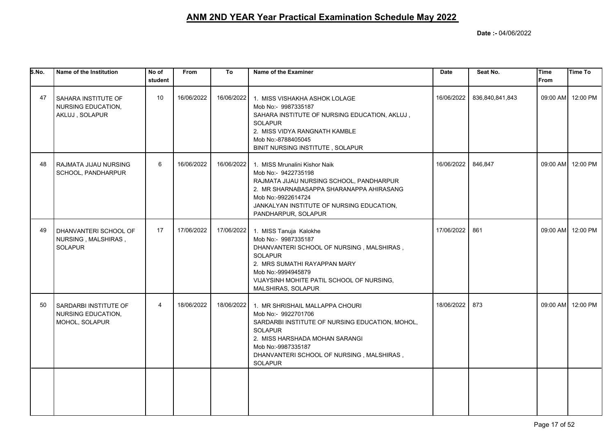| S.No. | Name of the Institution                                        | No of<br>student | From       | To         | Name of the Examiner                                                                                                                                                                                                                               | <b>Date</b> | Seat No.        | Time<br><b>From</b> | <b>Time To</b>    |
|-------|----------------------------------------------------------------|------------------|------------|------------|----------------------------------------------------------------------------------------------------------------------------------------------------------------------------------------------------------------------------------------------------|-------------|-----------------|---------------------|-------------------|
| 47    | I SAHARA INSTITUTE OF<br>NURSING EDUCATION,<br>AKLUJ, SOLAPUR  | 10               | 16/06/2022 | 16/06/2022 | 1. MISS VISHAKHA ASHOK LOLAGE<br>Mob No:- 9987335187<br>SAHARA INSTITUTE OF NURSING EDUCATION, AKLUJ,<br><b>SOLAPUR</b><br>2. MISS VIDYA RANGNATH KAMBLE<br>Mob No:-8788405045<br>BINIT NURSING INSTITUTE, SOLAPUR                                 | 16/06/2022  | 836,840,841,843 |                     | 09:00 AM 12:00 PM |
| 48    | RAJMATA JIJAU NURSING<br>SCHOOL, PANDHARPUR                    | 6                | 16/06/2022 | 16/06/2022 | 1. MISS Mrunalini Kishor Naik<br>Mob No:- 9422735198<br>RAJMATA JIJAU NURSING SCHOOL, PANDHARPUR<br>2. MR SHARNABASAPPA SHARANAPPA AHIRASANG<br>Mob No:-9922614724<br>JANKALYAN INSTITUTE OF NURSING EDUCATION,<br>PANDHARPUR, SOLAPUR             | 16/06/2022  | 846,847         |                     | 09:00 AM 12:00 PM |
| 49    | DHANVANTERI SCHOOL OF<br>NURSING, MALSHIRAS,<br><b>SOLAPUR</b> | 17               | 17/06/2022 | 17/06/2022 | 1. MISS Tanuja Kalokhe<br>Mob No:- 9987335187<br>DHANVANTERI SCHOOL OF NURSING, MALSHIRAS,<br><b>SOLAPUR</b><br>2. MRS SUMATHI RAYAPPAN MARY<br>Mob No:-9994945879<br>VIJAYSINH MOHITE PATIL SCHOOL OF NURSING,<br>MALSHIRAS, SOLAPUR              | 17/06/2022  | 861             |                     | 09:00 AM 12:00 PM |
| 50    | SARDARBI INSTITUTE OF<br>NURSING EDUCATION,<br>MOHOL, SOLAPUR  | 4                | 18/06/2022 | 18/06/2022 | 1. MR SHRISHAIL MALLAPPA CHOURI<br>Mob No:- 9922701706<br>SARDARBI INSTITUTE OF NURSING EDUCATION, MOHOL,<br><b>SOLAPUR</b><br>2. MISS HARSHADA MOHAN SARANGI<br>Mob No:-9987335187<br>DHANVANTERI SCHOOL OF NURSING, MALSHIRAS,<br><b>SOLAPUR</b> | 18/06/2022  | 873             |                     | 09:00 AM 12:00 PM |
|       |                                                                |                  |            |            |                                                                                                                                                                                                                                                    |             |                 |                     |                   |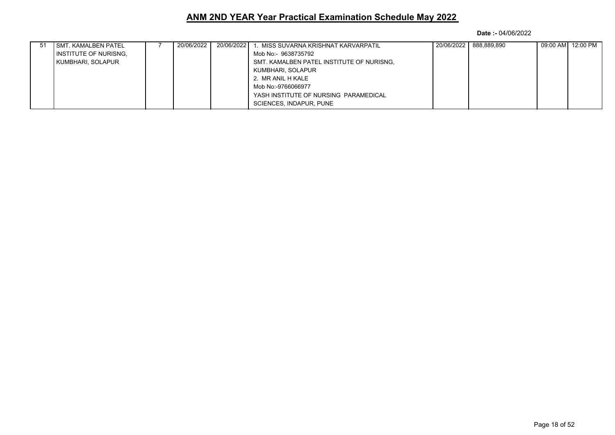| <b>SMT. KAMALBEN PATEL</b>   | 20/06/2022 | 20/06/2022 | MISS SUVARNA KRISHNAT KARVARPATIL         | 20/06/2022 | 888.889.890 | 09:00 AM 12:00 PM |
|------------------------------|------------|------------|-------------------------------------------|------------|-------------|-------------------|
| <b>INSTITUTE OF NURISNG.</b> |            |            | Mob No:- 9638735792                       |            |             |                   |
| KUMBHARI, SOLAPUR            |            |            | SMT. KAMALBEN PATEL INSTITUTE OF NURISNG. |            |             |                   |
|                              |            |            | KUMBHARI, SOLAPUR                         |            |             |                   |
|                              |            |            | 2. MR ANIL H KALE                         |            |             |                   |
|                              |            |            | Mob No:-9766066977                        |            |             |                   |
|                              |            |            | YASH INSTITUTE OF NURSING PARAMEDICAL     |            |             |                   |
|                              |            |            | SCIENCES, INDAPUR, PUNE                   |            |             |                   |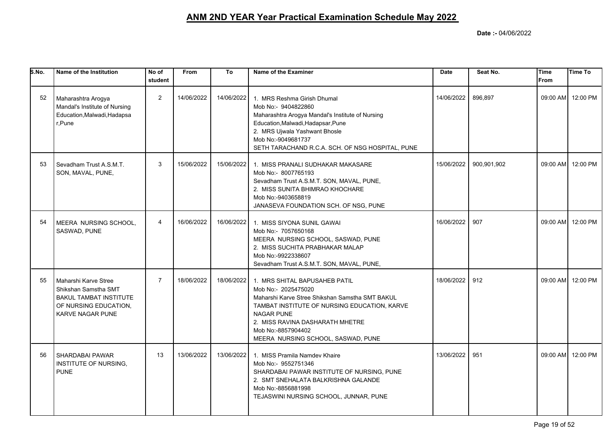| S.No. | Name of the Institution                                                                                                           | No of<br>student | <b>From</b> | To         | Name of the Examiner                                                                                                                                                                                                                                                        | <b>Date</b> | Seat No.    | <b>Time</b><br><b>From</b> | Time To           |
|-------|-----------------------------------------------------------------------------------------------------------------------------------|------------------|-------------|------------|-----------------------------------------------------------------------------------------------------------------------------------------------------------------------------------------------------------------------------------------------------------------------------|-------------|-------------|----------------------------|-------------------|
| 52    | Maharashtra Arogya<br>Mandal's Institute of Nursing<br>Education, Malwadi, Hadapsa<br>r.Pune                                      | 2                | 14/06/2022  | 14/06/2022 | 1. MRS Reshma Girish Dhumal<br>Mob No:- 9404822860<br>Maharashtra Arogya Mandal's Institute of Nursing<br>Education, Malwadi, Hadapsar, Pune<br>2. MRS Ujwala Yashwant Bhosle<br>Mob No:-9049681737<br>SETH TARACHAND R.C.A. SCH. OF NSG HOSPITAL, PUNE                     | 14/06/2022  | 896,897     |                            | 09:00 AM 12:00 PM |
| 53    | Sevadham Trust A.S.M.T.<br>SON, MAVAL, PUNE,                                                                                      | 3                | 15/06/2022  | 15/06/2022 | 1. MISS PRANALI SUDHAKAR MAKASARE<br>Mob No:- 8007765193<br>Sevadham Trust A.S.M.T. SON, MAVAL, PUNE,<br>2. MISS SUNITA BHIMRAO KHOCHARE<br>Mob No:-9403658819<br>JANASEVA FOUNDATION SCH. OF NSG, PUNE                                                                     | 15/06/2022  | 900,901,902 |                            | 09:00 AM 12:00 PM |
| 54    | MEERA NURSING SCHOOL,<br>SASWAD, PUNE                                                                                             | $\overline{4}$   | 16/06/2022  | 16/06/2022 | 1. MISS SIYONA SUNIL GAWAI<br>Mob No:- 7057650168<br>MEERA NURSING SCHOOL, SASWAD, PUNE<br>2. MISS SUCHITA PRABHAKAR MALAP<br>Mob No:-9922338607<br>Sevadham Trust A.S.M.T. SON, MAVAL, PUNE,                                                                               | 16/06/2022  | 907         |                            | 09:00 AM 12:00 PM |
| 55    | Maharshi Karve Stree<br>Shikshan Samstha SMT<br><b>BAKUL TAMBAT INSTITUTE</b><br>OF NURSING EDUCATION,<br><b>KARVE NAGAR PUNE</b> | $\overline{7}$   | 18/06/2022  | 18/06/2022 | 1. MRS SHITAL BAPUSAHEB PATIL<br>Mob No:- 2025475020<br>Maharshi Karve Stree Shikshan Samstha SMT BAKUL<br>TAMBAT INSTITUTE OF NURSING EDUCATION, KARVE<br><b>NAGAR PUNE</b><br>2. MISS RAVINA DASHARATH MHETRE<br>Mob No:-8857904402<br>MEERA NURSING SCHOOL, SASWAD, PUNE | 18/06/2022  | 912         |                            | 09:00 AM 12:00 PM |
| 56    | <b>SHARDABAI PAWAR</b><br>INSTITUTE OF NURSING,<br><b>PUNE</b>                                                                    | 13               | 13/06/2022  | 13/06/2022 | 1. MISS Pramila Namdev Khaire<br>Mob No:- 9552751346<br>SHARDABAI PAWAR INSTITUTE OF NURSING, PUNE<br>2. SMT SNEHALATA BALKRISHNA GALANDE<br>Mob No:-8856881998<br>TEJASWINI NURSING SCHOOL, JUNNAR, PUNE                                                                   | 13/06/2022  | 951         |                            | 09:00 AM 12:00 PM |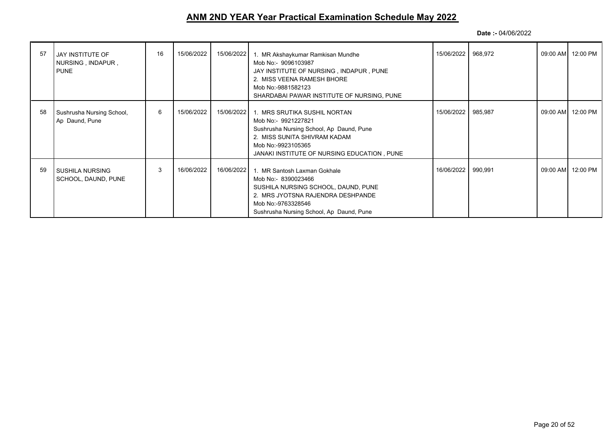| 57 | JAY INSTITUTE OF<br>NURSING, INDAPUR,<br><b>PUNE</b> | 16 | 15/06/2022 | 15/06/2022 | 1. MR Akshaykumar Ramkisan Mundhe<br>Mob No:- 9096103987<br>JAY INSTITUTE OF NURSING, INDAPUR, PUNE<br>2. MISS VEENA RAMESH BHORE<br>Mob No:-9881582123<br>SHARDABAI PAWAR INSTITUTE OF NURSING, PUNE | 15/06/2022   968,972 |         | 09:00 AM 12:00 PM   |
|----|------------------------------------------------------|----|------------|------------|-------------------------------------------------------------------------------------------------------------------------------------------------------------------------------------------------------|----------------------|---------|---------------------|
| 58 | Sushrusha Nursing School,<br>Ap Daund, Pune          | 6  | 15/06/2022 | 15/06/2022 | 1. MRS SRUTIKA SUSHIL NORTAN<br>Mob No:- 9921227821<br>Sushrusha Nursing School, Ap Daund, Pune<br>2. MISS SUNITA SHIVRAM KADAM<br>Mob No:-9923105365<br>JANAKI INSTITUTE OF NURSING EDUCATION, PUNE  | 15/06/2022           | 985,987 | 09:00 AM 12:00 PM   |
| 59 | <b>SUSHILA NURSING</b><br>SCHOOL, DAUND, PUNE        | 3  | 16/06/2022 | 16/06/2022 | 1. MR Santosh Laxman Gokhale<br>Mob No:- 8390023466<br>SUSHILA NURSING SCHOOL, DAUND, PUNE<br>2. MRS JYOTSNA RAJENDRA DESHPANDE<br>Mob No:-9763328546<br>Sushrusha Nursing School, Ap Daund, Pune     | 16/06/2022           | 990,991 | 09:00 AM   12:00 PM |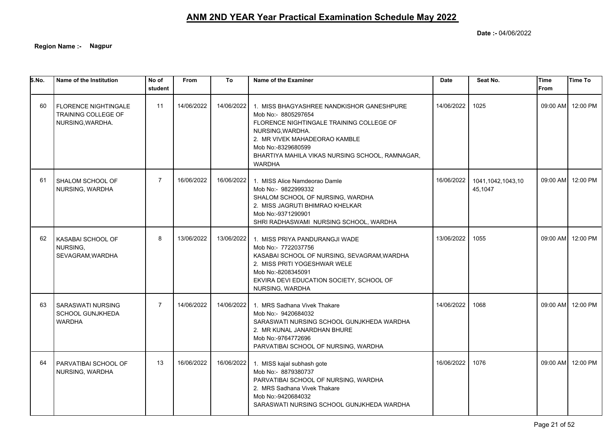**Date :-** 04/06/2022

**Region Name :- Nagpur**

| 5.No. | Name of the Institution                                                | No of<br>student | <b>From</b> | To         | Name of the Examiner                                                                                                                                                                                                                                       | <b>Date</b> | Seat No.                     | <b>Time</b><br>From | <b>Time To</b>    |
|-------|------------------------------------------------------------------------|------------------|-------------|------------|------------------------------------------------------------------------------------------------------------------------------------------------------------------------------------------------------------------------------------------------------------|-------------|------------------------------|---------------------|-------------------|
| 60    | <b>FLORENCE NIGHTINGALE</b><br>TRAINING COLLEGE OF<br>NURSING, WARDHA. | 11               | 14/06/2022  | 14/06/2022 | 1. MISS BHAGYASHREE NANDKISHOR GANESHPURE<br>Mob No:- 8805297654<br>FLORENCE NIGHTINGALE TRAINING COLLEGE OF<br>NURSING.WARDHA.<br>2. MR VIVEK MAHADEORAO KAMBLE<br>Mob No:-8329680599<br>BHARTIYA MAHILA VIKAS NURSING SCHOOL, RAMNAGAR,<br><b>WARDHA</b> | 14/06/2022  | 1025                         |                     | 09:00 AM 12:00 PM |
| 61    | SHALOM SCHOOL OF<br>NURSING, WARDHA                                    | $\overline{7}$   | 16/06/2022  | 16/06/2022 | 1. MISS Alice Namdeorao Damle<br>Mob No:- 9822999332<br>SHALOM SCHOOL OF NURSING, WARDHA<br>2. MISS JAGRUTI BHIMRAO KHELKAR<br>Mob No:-9371290901<br>SHRI RADHASWAMI NURSING SCHOOL, WARDHA                                                                | 16/06/2022  | 1041,1042,1043,10<br>45,1047 |                     | 09:00 AM 12:00 PM |
| 62    | KASABAI SCHOOL OF<br>NURSING,<br>SEVAGRAM, WARDHA                      | 8                | 13/06/2022  | 13/06/2022 | 1. MISS PRIYA PANDURANGJI WADE<br>Mob No:- 7722037756<br>KASABAI SCHOOL OF NURSING, SEVAGRAM, WARDHA<br>2. MISS PRITI YOGESHWAR WELE<br>Mob No:-8208345091<br>EKVIRA DEVI EDUCATION SOCIETY, SCHOOL OF<br>NURSING, WARDHA                                  | 13/06/2022  | 1055                         |                     | 09:00 AM 12:00 PM |
| 63    | <b>SARASWATI NURSING</b><br><b>SCHOOL GUNJKHEDA</b><br><b>WARDHA</b>   | $\overline{7}$   | 14/06/2022  | 14/06/2022 | 1. MRS Sadhana Vivek Thakare<br>Mob No:- 9420684032<br>SARASWATI NURSING SCHOOL GUNJKHEDA WARDHA<br>2. MR KUNAL JANARDHAN BHURE<br>Mob No:-9764772696<br>PARVATIBAI SCHOOL OF NURSING, WARDHA                                                              | 14/06/2022  | 1068                         |                     | 09:00 AM 12:00 PM |
| 64    | PARVATIBAI SCHOOL OF<br>NURSING, WARDHA                                | 13               | 16/06/2022  | 16/06/2022 | 1. MISS kajal subhash gote<br>Mob No:- 8879380737<br>PARVATIBAI SCHOOL OF NURSING, WARDHA<br>2. MRS Sadhana Vivek Thakare<br>Mob No:-9420684032<br>SARASWATI NURSING SCHOOL GUNJKHEDA WARDHA                                                               | 16/06/2022  | 1076                         |                     | 09:00 AM 12:00 PM |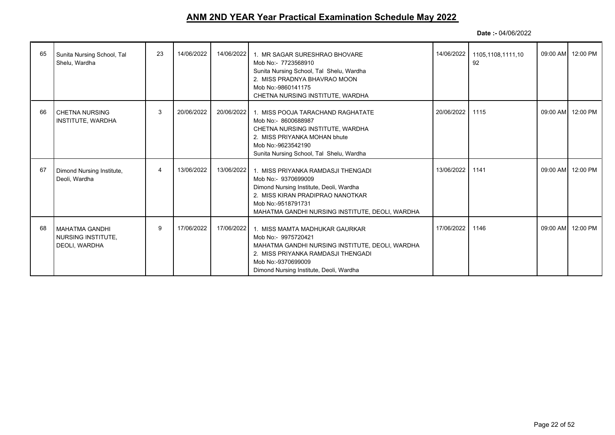| 65 | Sunita Nursing School, Tal<br>Shelu, Wardha                  | 23 | 14/06/2022 | 14/06/2022 | 1. MR SAGAR SURESHRAO BHOVARE<br>Mob No:- 7723568910<br>Sunita Nursing School, Tal Shelu, Wardha<br>2. MISS PRADNYA BHAVRAO MOON<br>Mob No:-9860141175<br>CHETNA NURSING INSTITUTE, WARDHA                        | 14/06/2022 | 1105.1108.1111.10<br>92 | 09:00 AM 12:00 PM |
|----|--------------------------------------------------------------|----|------------|------------|-------------------------------------------------------------------------------------------------------------------------------------------------------------------------------------------------------------------|------------|-------------------------|-------------------|
| 66 | CHETNA NURSING<br>INSTITUTE, WARDHA                          | 3  | 20/06/2022 | 20/06/2022 | 1. MISS POOJA TARACHAND RAGHATATE<br>Mob No:- 8600688987<br>CHETNA NURSING INSTITUTE, WARDHA<br>2. MISS PRIYANKA MOHAN bhute<br>Mob No:-9623542190<br>Sunita Nursing School, Tal Shelu, Wardha                    | 20/06/2022 | 1115                    | 09:00 AM 12:00 PM |
| 67 | Dimond Nursing Institute,<br>Deoli, Wardha                   | 4  | 13/06/2022 | 13/06/2022 | 1. MISS PRIYANKA RAMDASJI THENGADI<br>Mob No:- 9370699009<br>Dimond Nursing Institute, Deoli, Wardha<br>2. MISS KIRAN PRADIPRAO NANOTKAR<br>Mob No:-9518791731<br>MAHATMA GANDHI NURSING INSTITUTE, DEOLI, WARDHA | 13/06/2022 | 1141                    | 09:00 AM 12:00 PM |
| 68 | MAHATMA GANDHI<br><b>NURSING INSTITUTE,</b><br>DEOLI, WARDHA | 9  | 17/06/2022 | 17/06/2022 | 1. MISS MAMTA MADHUKAR GAURKAR<br>Mob No:- 9975720421<br>MAHATMA GANDHI NURSING INSTITUTE, DEOLI, WARDHA<br>2. MISS PRIYANKA RAMDASJI THENGADI<br>Mob No:-9370699009<br>Dimond Nursing Institute, Deoli, Wardha   | 17/06/2022 | 1146                    | 09:00 AM 12:00 PM |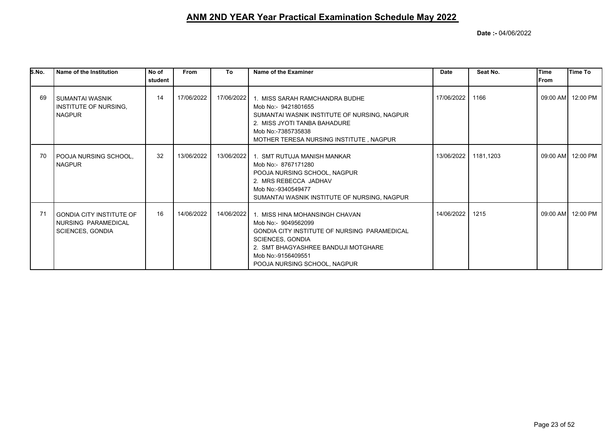| S.No. | Name of the Institution                                                           | No of<br>student | <b>From</b> | To         | Name of the Examiner                                                                                                                                                                                                          | Date       | Seat No.  | <b>Time</b><br>From | lTime To          |
|-------|-----------------------------------------------------------------------------------|------------------|-------------|------------|-------------------------------------------------------------------------------------------------------------------------------------------------------------------------------------------------------------------------------|------------|-----------|---------------------|-------------------|
| 69    | <b>SUMANTAI WASNIK</b><br>INSTITUTE OF NURSING.<br><b>NAGPUR</b>                  | 14               | 17/06/2022  | 17/06/2022 | 1. MISS SARAH RAMCHANDRA BUDHE<br>Mob No:- 9421801655<br>SUMANTAI WASNIK INSTITUTE OF NURSING, NAGPUR<br>2. MISS JYOTI TANBA BAHADURE<br>Mob No:-7385735838<br>MOTHER TERESA NURSING INSTITUTE, NAGPUR                        | 17/06/2022 | 1166      |                     | 09:00 AM 12:00 PM |
| 70    | POOJA NURSING SCHOOL,<br><b>NAGPUR</b>                                            | 32               | 13/06/2022  |            | 13/06/2022   1. SMT RUTUJA MANISH MANKAR<br>Mob No:- 8767171280<br>POOJA NURSING SCHOOL, NAGPUR<br>2. MRS REBECCA JADHAV<br>Mob No:-9340549477<br>SUMANTAI WASNIK INSTITUTE OF NURSING, NAGPUR                                | 13/06/2022 | 1181,1203 |                     | 09:00 AM 12:00 PM |
| 71    | <b>GONDIA CITY INSTITUTE OF</b><br>NURSING PARAMEDICAL<br><b>SCIENCES, GONDIA</b> | 16               | 14/06/2022  | 14/06/2022 | 1. MISS HINA MOHANSINGH CHAVAN<br>Mob No:- 9049562099<br>GONDIA CITY INSTITUTE OF NURSING PARAMEDICAL<br><b>SCIENCES, GONDIA</b><br>2. SMT BHAGYASHREE BANDUJI MOTGHARE<br>Mob No:-9156409551<br>POOJA NURSING SCHOOL, NAGPUR | 14/06/2022 | 1215      | 09:00 AM            | 12:00 PM          |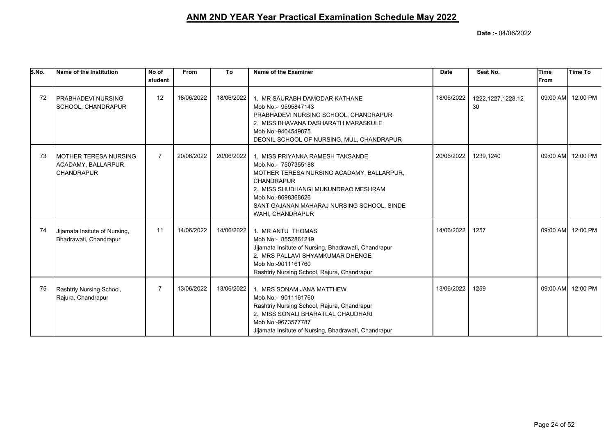| S.No. | Name of the Institution                                                  | No of<br>student | <b>From</b> | To         | Name of the Examiner                                                                                                                                                                                                                                     | <b>Date</b> | Seat No.                   | Time<br><b>From</b> | Time To           |
|-------|--------------------------------------------------------------------------|------------------|-------------|------------|----------------------------------------------------------------------------------------------------------------------------------------------------------------------------------------------------------------------------------------------------------|-------------|----------------------------|---------------------|-------------------|
| 72    | PRABHADEVI NURSING<br>SCHOOL, CHANDRAPUR                                 | 12               | 18/06/2022  | 18/06/2022 | 1. MR SAURABH DAMODAR KATHANE<br>Mob No:- 9595847143<br>PRABHADEVI NURSING SCHOOL, CHANDRAPUR<br>2. MISS BHAVANA DASHARATH MARASKULE<br>Mob No:-9404549875<br>DEONIL SCHOOL OF NURSING, MUL, CHANDRAPUR                                                  | 18/06/2022  | 1222, 1227, 1228, 12<br>30 |                     | 09:00 AM 12:00 PM |
| 73    | <b>MOTHER TERESA NURSING</b><br>ACADAMY, BALLARPUR,<br><b>CHANDRAPUR</b> | $\overline{7}$   | 20/06/2022  | 20/06/2022 | 1. MISS PRIYANKA RAMESH TAKSANDE<br>Mob No:- 7507355188<br>MOTHER TERESA NURSING ACADAMY, BALLARPUR,<br><b>CHANDRAPUR</b><br>2. MISS SHUBHANGI MUKUNDRAO MESHRAM<br>Mob No:-8698368626<br>SANT GAJANAN MAHARAJ NURSING SCHOOL, SINDE<br>WAHI, CHANDRAPUR | 20/06/2022  | 1239,1240                  |                     | 09:00 AM 12:00 PM |
| 74    | Jijamata Insitute of Nursing,<br>Bhadrawati, Chandrapur                  | 11               | 14/06/2022  | 14/06/2022 | 1. MR ANTU THOMAS<br>Mob No:- 8552861219<br>Jijamata Insitute of Nursing, Bhadrawati, Chandrapur<br>2. MRS PALLAVI SHYAMKUMAR DHENGE<br>Mob No:-9011161760<br>Rashtriy Nursing School, Rajura, Chandrapur                                                | 14/06/2022  | 1257                       | 09:00 AM            | 12:00 PM          |
| 75    | Rashtriy Nursing School,<br>Rajura, Chandrapur                           | $\overline{7}$   | 13/06/2022  | 13/06/2022 | 1. MRS SONAM JANA MATTHEW<br>Mob No:- 9011161760<br>Rashtriy Nursing School, Rajura, Chandrapur<br>2. MISS SONALI BHARATLAL CHAUDHARI<br>Mob No:-9673577787<br>Jijamata Insitute of Nursing, Bhadrawati, Chandrapur                                      | 13/06/2022  | 1259                       | 09:00 AM            | 12:00 PM          |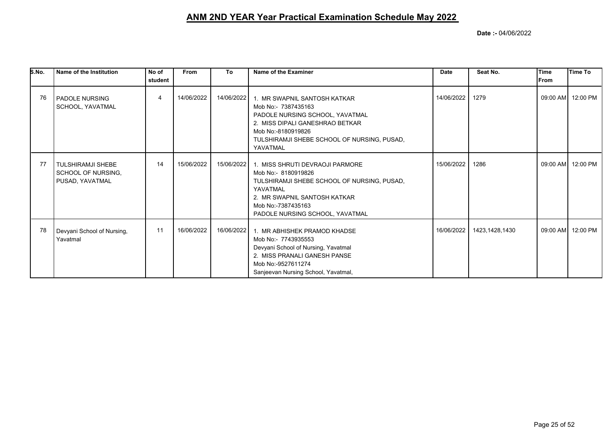| S.No. | Name of the Institution                                           | No of<br>student | <b>From</b> | To         | Name of the Examiner                                                                                                                                                                                                    | <b>Date</b> | Seat No.       | Time<br>lFrom | <b>Time To</b>    |
|-------|-------------------------------------------------------------------|------------------|-------------|------------|-------------------------------------------------------------------------------------------------------------------------------------------------------------------------------------------------------------------------|-------------|----------------|---------------|-------------------|
| 76    | <b>PADOLE NURSING</b><br>SCHOOL, YAVATMAL                         | 4                | 14/06/2022  |            | 14/06/2022 1. MR SWAPNIL SANTOSH KATKAR<br>Mob No: 7387435163<br>PADOLE NURSING SCHOOL, YAVATMAL<br>2. MISS DIPALI GANESHRAO BETKAR<br>Mob No:-8180919826<br>TULSHIRAMJI SHEBE SCHOOL OF NURSING, PUSAD,<br>YAVATMAL    | 14/06/2022  | 1279           |               | 09:00 AM 12:00 PM |
| 77    | <b>TULSHIRAMJI SHEBE</b><br>SCHOOL OF NURSING,<br>PUSAD, YAVATMAL | 14               | 15/06/2022  |            | 15/06/2022   1. MISS SHRUTI DEVRAOJI PARMORE<br>Mob No:- 8180919826<br>TULSHIRAMJI SHEBE SCHOOL OF NURSING, PUSAD,<br>YAVATMAL<br>2. MR SWAPNIL SANTOSH KATKAR<br>Mob No:-7387435163<br>PADOLE NURSING SCHOOL, YAVATMAL | 15/06/2022  | 1286           |               | 09:00 AM 12:00 PM |
| 78    | Devyani School of Nursing,<br>Yavatmal                            | 11               | 16/06/2022  | 16/06/2022 | 1. MR ABHISHEK PRAMOD KHADSE<br>Mob No:- 7743935553<br>Devyani School of Nursing, Yavatmal<br>2. MISS PRANALI GANESH PANSE<br>Mob No:-9527611274<br>Sanjeevan Nursing School, Yavatmal,                                 | 16/06/2022  | 1423,1428,1430 |               | 09:00 AM 12:00 PM |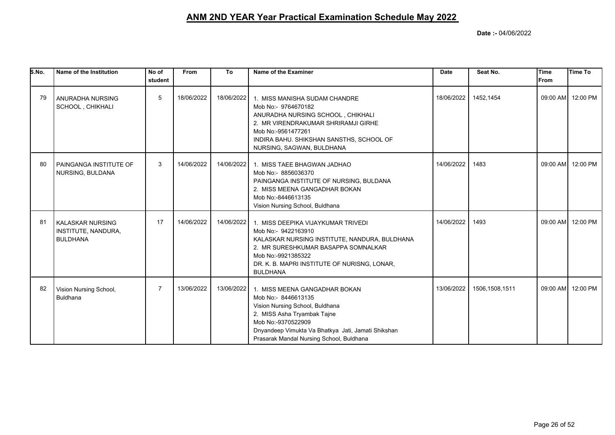| S.No. | Name of the Institution                                           | No of<br>student | <b>From</b> | To         | Name of the Examiner                                                                                                                                                                                                                           | <b>Date</b> | Seat No.       | Time<br><b>From</b> | Time To           |
|-------|-------------------------------------------------------------------|------------------|-------------|------------|------------------------------------------------------------------------------------------------------------------------------------------------------------------------------------------------------------------------------------------------|-------------|----------------|---------------------|-------------------|
| 79    | ANURADHA NURSING<br>SCHOOL, CHIKHALI                              | 5                | 18/06/2022  | 18/06/2022 | 1. MISS MANISHA SUDAM CHANDRE<br>Mob No:- 9764670182<br>ANURADHA NURSING SCHOOL, CHIKHALI<br>2. MR VIRENDRAKUMAR SHRIRAMJI GIRHE<br>Mob No:-9561477261<br>INDIRA BAHU. SHIKSHAN SANSTHS, SCHOOL OF<br>NURSING, SAGWAN, BULDHANA                | 18/06/2022  | 1452,1454      | 09:00 AM            | 12:00 PM          |
| 80    | PAINGANGA INSTITUTE OF<br>NURSING, BULDANA                        | 3                | 14/06/2022  | 14/06/2022 | 1. MISS TAEE BHAGWAN JADHAO<br>Mob No:- 8856036370<br>PAINGANGA INSTITUTE OF NURSING, BULDANA<br>2. MISS MEENA GANGADHAR BOKAN<br>Mob No:-8446613135<br>Vision Nursing School, Buldhana                                                        | 14/06/2022  | 1483           | 09:00 AM            | 12:00 PM          |
| 81    | <b>KALASKAR NURSING</b><br>INSTITUTE, NANDURA,<br><b>BULDHANA</b> | 17               | 14/06/2022  | 14/06/2022 | 1. MISS DEEPIKA VIJAYKUMAR TRIVEDI<br>Mob No:- 9422163910<br>KALASKAR NURSING INSTITUTE, NANDURA, BULDHANA<br>2. MR SURESHKUMAR BASAPPA SOMNALKAR<br>Mob No:-9921385322<br>DR. K. B. MAPRI INSTITUTE OF NURISNG, LONAR,<br><b>BULDHANA</b>     | 14/06/2022  | 1493           |                     | 09:00 AM 12:00 PM |
| 82    | Vision Nursing School,<br><b>Buldhana</b>                         | $\overline{7}$   | 13/06/2022  | 13/06/2022 | 1. MISS MEENA GANGADHAR BOKAN<br>Mob No:- 8446613135<br>Vision Nursing School, Buldhana<br>2. MISS Asha Tryambak Tajne<br>Mob No:-9370522909<br>Dnyandeep Vimukta Va Bhatkya Jati, Jamati Shikshan<br>Prasarak Mandal Nursing School, Buldhana | 13/06/2022  | 1506,1508,1511 | 09:00 AM            | 12:00 PM          |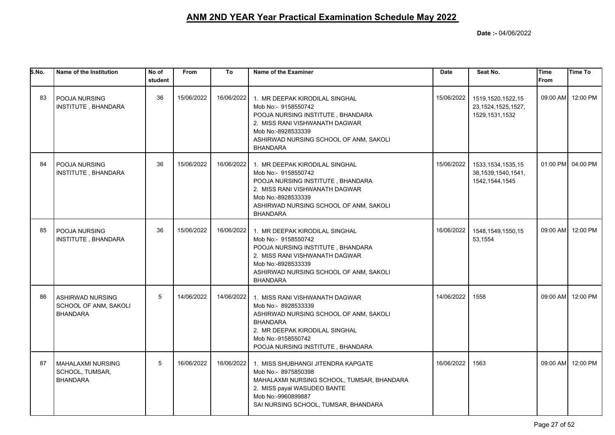| S.No. | Name of the Institution                                             | No of<br>student | <b>From</b> | To         | Name of the Examiner                                                                                                                                                                                            | <b>Date</b> | Seat No.                                                          | <b>Time</b><br><b>From</b> | <b>Time To</b>    |
|-------|---------------------------------------------------------------------|------------------|-------------|------------|-----------------------------------------------------------------------------------------------------------------------------------------------------------------------------------------------------------------|-------------|-------------------------------------------------------------------|----------------------------|-------------------|
| 83    | <b>POOJA NURSING</b><br>INSTITUTE, BHANDARA                         | 36               | 15/06/2022  | 16/06/2022 | 1. MR DEEPAK KIRODILAL SINGHAL<br>Mob No:- 9158550742<br>POOJA NURSING INSTITUTE, BHANDARA<br>2. MISS RANI VISHWANATH DAGWAR<br>Mob No:-8928533339<br>ASHIRWAD NURSING SCHOOL OF ANM, SAKOLI<br><b>BHANDARA</b> | 15/06/2022  | 1519,1520,1522,15<br>23, 1524, 1525, 1527,<br>1529, 1531, 1532    |                            | 09:00 AM 12:00 PM |
| 84    | <b>POOJA NURSING</b><br>INSTITUTE, BHANDARA                         | 36               | 15/06/2022  | 16/06/2022 | 1. MR DEEPAK KIRODILAL SINGHAL<br>Mob No:- 9158550742<br>POOJA NURSING INSTITUTE, BHANDARA<br>2. MISS RANI VISHWANATH DAGWAR<br>Mob No:-8928533339<br>ASHIRWAD NURSING SCHOOL OF ANM, SAKOLI<br><b>BHANDARA</b> | 15/06/2022  | 1533, 1534, 1535, 15<br>38, 1539, 1540, 1541,<br>1542, 1544, 1545 |                            | 01:00 PM 04:00 PM |
| 85    | <b>POOJA NURSING</b><br>INSTITUTE, BHANDARA                         | 36               | 15/06/2022  | 16/06/2022 | 1. MR DEEPAK KIRODILAL SINGHAL<br>Mob No:- 9158550742<br>POOJA NURSING INSTITUTE, BHANDARA<br>2. MISS RANI VISHWANATH DAGWAR<br>Mob No:-8928533339<br>ASHIRWAD NURSING SCHOOL OF ANM, SAKOLI<br><b>BHANDARA</b> | 16/06/2022  | 1548, 1549, 1550, 15<br>53,1554                                   |                            | 09:00 AM 12:00 PM |
| 86    | <b>ASHIRWAD NURSING</b><br>SCHOOL OF ANM, SAKOLI<br><b>BHANDARA</b> | 5                | 14/06/2022  | 14/06/2022 | 1. MISS RANI VISHWANATH DAGWAR<br>Mob No:- 8928533339<br>ASHIRWAD NURSING SCHOOL OF ANM, SAKOLI<br><b>BHANDARA</b><br>2. MR DEEPAK KIRODILAL SINGHAL<br>Mob No:-9158550742<br>POOJA NURSING INSTITUTE, BHANDARA | 14/06/2022  | 1558                                                              |                            | 09:00 AM 12:00 PM |
| 87    | MAHALAXMI NURSING<br>SCHOOL, TUMSAR,<br><b>BHANDARA</b>             | 5                | 16/06/2022  |            | 16/06/2022 1. MISS SHUBHANGI JITENDRA KAPGATE<br>Mob No:- 8975850398<br>MAHALAXMI NURSING SCHOOL, TUMSAR, BHANDARA<br>2. MISS payal WASUDEO BANTE<br>Mob No:-9960899887<br>SAI NURSING SCHOOL, TUMSAR, BHANDARA | 16/06/2022  | 1563                                                              |                            | 09:00 AM 12:00 PM |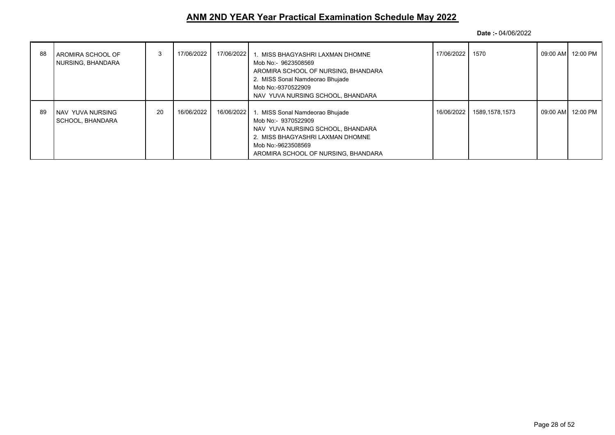| 88 | AROMIRA SCHOOL OF<br>NURSING, BHANDARA | 3  | 17/06/2022 | 17/06/2022 | 1. MISS BHAGYASHRI LAXMAN DHOMNE<br>Mob No:- 9623508569<br>AROMIRA SCHOOL OF NURSING, BHANDARA<br>2. MISS Sonal Namdeorao Bhujade<br>Mob No:-9370522909<br>NAV YUVA NURSING SCHOOL, BHANDARA | 17/06/2022   1570 |                           | 09:00 AM 12:00 PM |
|----|----------------------------------------|----|------------|------------|----------------------------------------------------------------------------------------------------------------------------------------------------------------------------------------------|-------------------|---------------------------|-------------------|
| 89 | NAV YUVA NURSING<br>SCHOOL, BHANDARA   | 20 | 16/06/2022 | 16/06/2022 | 1. MISS Sonal Namdeorao Bhujade<br>Mob No:- 9370522909<br>NAV YUVA NURSING SCHOOL, BHANDARA<br>2. MISS BHAGYASHRI LAXMAN DHOMNE<br>Mob No:-9623508569<br>AROMIRA SCHOOL OF NURSING, BHANDARA |                   | 16/06/2022 1589.1578.1573 | 09:00 AM 12:00 PM |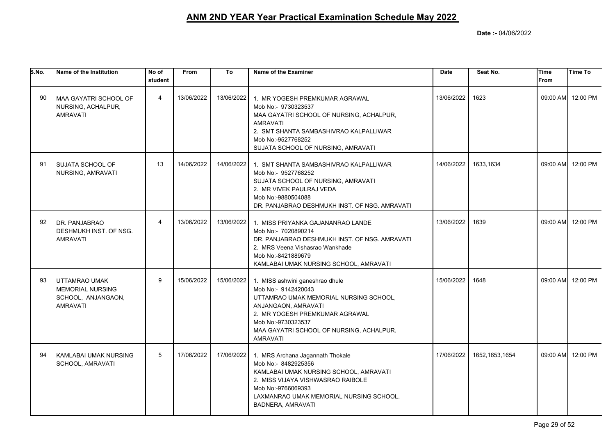| S.No. | Name of the Institution                                                           | No of<br>student | <b>From</b> | To         | Name of the Examiner                                                                                                                                                                                                                           | <b>Date</b> | Seat No.       | <b>Time</b><br><b>From</b> | <b>Time To</b>    |
|-------|-----------------------------------------------------------------------------------|------------------|-------------|------------|------------------------------------------------------------------------------------------------------------------------------------------------------------------------------------------------------------------------------------------------|-------------|----------------|----------------------------|-------------------|
| 90    | MAA GAYATRI SCHOOL OF<br>NURSING, ACHALPUR,<br><b>AMRAVATI</b>                    | 4                | 13/06/2022  | 13/06/2022 | 1. MR YOGESH PREMKUMAR AGRAWAL<br>Mob No:- 9730323537<br>MAA GAYATRI SCHOOL OF NURSING, ACHALPUR,<br><b>AMRAVATI</b><br>2. SMT SHANTA SAMBASHIVRAO KALPALLIWAR<br>Mob No:-9527768252<br>SUJATA SCHOOL OF NURSING, AMRAVATI                     | 13/06/2022  | 1623           |                            | 09:00 AM 12:00 PM |
| 91    | <b>SUJATA SCHOOL OF</b><br>NURSING, AMRAVATI                                      | 13               | 14/06/2022  | 14/06/2022 | 1. SMT SHANTA SAMBASHIVRAO KALPALLIWAR<br>Mob No:- 9527768252<br>SUJATA SCHOOL OF NURSING, AMRAVATI<br>2. MR VIVEK PAULRAJ VEDA<br>Mob No:-9880504088<br>DR. PANJABRAO DESHMUKH INST. OF NSG. AMRAVATI                                         | 14/06/2022  | 1633,1634      |                            | 09:00 AM 12:00 PM |
| 92    | DR. PANJABRAO<br>DESHMUKH INST. OF NSG.<br><b>AMRAVATI</b>                        | $\overline{4}$   | 13/06/2022  | 13/06/2022 | 1. MISS PRIYANKA GAJANANRAO LANDE<br>Mob No:- 7020890214<br>DR. PANJABRAO DESHMUKH INST. OF NSG. AMRAVATI<br>2. MRS Veena Vishasrao Wankhade<br>Mob No:-8421889679<br>KAMLABAI UMAK NURSING SCHOOL, AMRAVATI                                   | 13/06/2022  | 1639           |                            | 09:00 AM 12:00 PM |
| 93    | UTTAMRAO UMAK<br><b>MEMORIAL NURSING</b><br>SCHOOL, ANJANGAON,<br><b>AMRAVATI</b> | 9                | 15/06/2022  | 15/06/2022 | 1. MISS ashwini ganeshrao dhule<br>Mob No:- 9142420043<br>UTTAMRAO UMAK MEMORIAL NURSING SCHOOL,<br>ANJANGAON, AMRAVATI<br>2. MR YOGESH PREMKUMAR AGRAWAL<br>Mob No:-9730323537<br>MAA GAYATRI SCHOOL OF NURSING, ACHALPUR,<br><b>AMRAVATI</b> | 15/06/2022  | 1648           |                            | 09:00 AM 12:00 PM |
| 94    | KAMLABAI UMAK NURSING<br>SCHOOL, AMRAVATI                                         | 5                | 17/06/2022  | 17/06/2022 | 1. MRS Archana Jagannath Thokale<br>Mob No:- 8482925356<br>KAMLABAI UMAK NURSING SCHOOL, AMRAVATI<br>2. MISS VIJAYA VISHWASRAO RAIBOLE<br>Mob No:-9766069393<br>LAXMANRAO UMAK MEMORIAL NURSING SCHOOL,<br>BADNERA, AMRAVATI                   | 17/06/2022  | 1652.1653.1654 |                            | 09:00 AM 12:00 PM |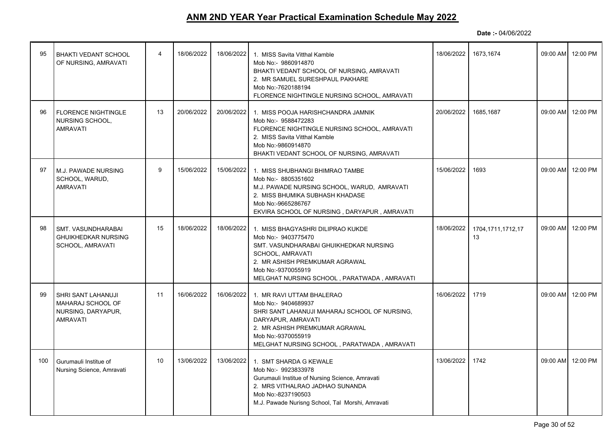| 95  | <b>BHAKTI VEDANT SCHOOL</b><br>OF NURSING, AMRAVATI                              | 4               | 18/06/2022 | 18/06/2022 | 1. MISS Savita Vitthal Kamble<br>Mob No:- 9860914870<br>BHAKTI VEDANT SCHOOL OF NURSING, AMRAVATI<br>2. MR SAMUEL SURESHPAUL PAKHARE<br>Mob No:-7620188194<br>FLORENCE NIGHTINGLE NURSING SCHOOL, AMRAVATI                     | 18/06/2022 | 1673,1674               | 09:00 AM | 12:00 PM          |
|-----|----------------------------------------------------------------------------------|-----------------|------------|------------|--------------------------------------------------------------------------------------------------------------------------------------------------------------------------------------------------------------------------------|------------|-------------------------|----------|-------------------|
| 96  | <b>FLORENCE NIGHTINGLE</b><br>NURSING SCHOOL,<br><b>AMRAVATI</b>                 | 13              | 20/06/2022 | 20/06/2022 | 1. MISS POOJA HARISHCHANDRA JAMNIK<br>Mob No:- 9588472283<br>FLORENCE NIGHTINGLE NURSING SCHOOL, AMRAVATI<br>2. MISS Savita Vitthal Kamble<br>Mob No:-9860914870<br>BHAKTI VEDANT SCHOOL OF NURSING, AMRAVATI                  | 20/06/2022 | 1685,1687               |          | 09:00 AM 12:00 PM |
| 97  | M.J. PAWADE NURSING<br>SCHOOL, WARUD,<br><b>AMRAVATI</b>                         | 9               | 15/06/2022 | 15/06/2022 | 1. MISS SHUBHANGI BHIMRAO TAMBE<br>Mob No:- 8805351602<br>M.J. PAWADE NURSING SCHOOL, WARUD, AMRAVATI<br>2. MISS BHUMIKA SUBHASH KHADASE<br>Mob No:-9665286767<br>EKVIRA SCHOOL OF NURSING, DARYAPUR, AMRAVATI                 | 15/06/2022 | 1693                    |          | 09:00 AM 12:00 PM |
| 98  | SMT. VASUNDHARABAI<br><b>GHUIKHEDKAR NURSING</b><br>SCHOOL, AMRAVATI             | 15              | 18/06/2022 | 18/06/2022 | 1. MISS BHAGYASHRI DILIPRAO KUKDE<br>Mob No:- 9403775470<br>SMT. VASUNDHARABAI GHUIKHEDKAR NURSING<br>SCHOOL, AMRAVATI<br>2. MR ASHISH PREMKUMAR AGRAWAL<br>Mob No:-9370055919<br>MELGHAT NURSING SCHOOL, PARATWADA, AMRAVATI  | 18/06/2022 | 1704,1711,1712,17<br>13 |          | 09:00 AM 12:00 PM |
| 99  | SHRI SANT LAHANUJI<br>MAHARAJ SCHOOL OF<br>NURSING, DARYAPUR,<br><b>AMRAVATI</b> | 11              | 16/06/2022 | 16/06/2022 | 1. MR RAVI UTTAM BHALERAO<br>Mob No:- 9404689937<br>SHRI SANT LAHANUJI MAHARAJ SCHOOL OF NURSING,<br>DARYAPUR, AMRAVATI<br>2. MR ASHISH PREMKUMAR AGRAWAL<br>Mob No:-9370055919<br>MELGHAT NURSING SCHOOL, PARATWADA, AMRAVATI | 16/06/2022 | 1719                    |          | 09:00 AM 12:00 PM |
| 100 | Gurumauli Institue of<br>Nursing Science, Amravati                               | 10 <sup>°</sup> | 13/06/2022 | 13/06/2022 | 1. SMT SHARDA G KEWALE<br>Mob No:- 9923833978<br>Gurumauli Institue of Nursing Science, Amravati<br>2. MRS VITHALRAO JADHAO SUNANDA<br>Mob No:-8237190503<br>M.J. Pawade Nurisng School, Tal Morshi, Amravati                  | 13/06/2022 | 1742                    | 09:00 AM | 12:00 PM          |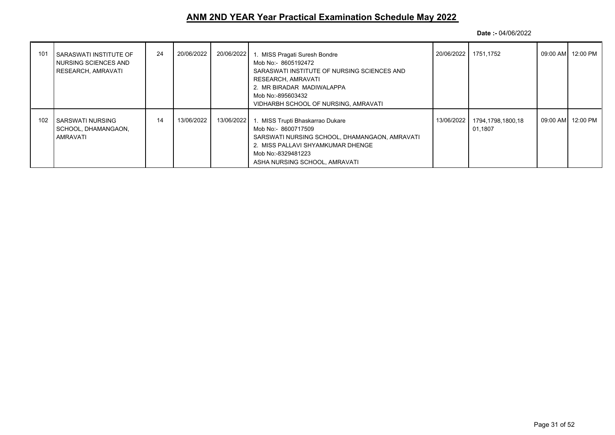| 101 | I SARASWATI INSTITUTE OF<br>I NURSING SCIENCES AND<br>  RESEARCH, AMRAVATI | 24 | 20/06/2022 | 20/06/2022 | 1. MISS Pragati Suresh Bondre<br>Mob No: - 8605192472<br>SARASWATI INSTITUTE OF NURSING SCIENCES AND<br>RESEARCH, AMRAVATI<br>2. MR BIRADAR MADIWALAPPA<br>Mob No:-895603432<br>VIDHARBH SCHOOL OF NURSING, AMRAVATI |            | 20/06/2022 1751.1752         | 09:00 AM  12:00 PM |
|-----|----------------------------------------------------------------------------|----|------------|------------|----------------------------------------------------------------------------------------------------------------------------------------------------------------------------------------------------------------------|------------|------------------------------|--------------------|
| 102 | I SARSWATI NURSING<br>I SCHOOL. DHAMANGAON.<br>I AMRAVATI                  | 14 | 13/06/2022 | 13/06/2022 | 1. MISS Trupti Bhaskarrao Dukare<br>Mob No:- 8600717509<br>SARSWATI NURSING SCHOOL, DHAMANGAON, AMRAVATI<br>2. MISS PALLAVI SHYAMKUMAR DHENGE<br>Mob No:-8329481223<br>ASHA NURSING SCHOOL, AMRAVATI                 | 13/06/2022 | 1794.1798.1800.18<br>01.1807 | 09:00 AM  12:00 PM |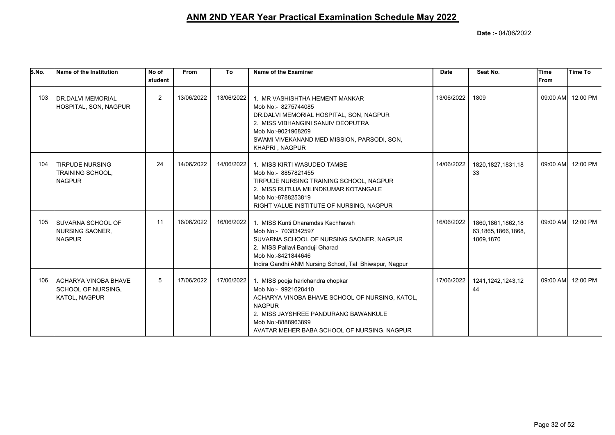| S.No. | Name of the Institution                                        | No of<br>student | <b>From</b> | To         | Name of the Examiner                                                                                                                                                                                                                     | <b>Date</b> | Seat No.                                                | Time<br>lFrom | <b>Time To</b>    |
|-------|----------------------------------------------------------------|------------------|-------------|------------|------------------------------------------------------------------------------------------------------------------------------------------------------------------------------------------------------------------------------------------|-------------|---------------------------------------------------------|---------------|-------------------|
| 103   | I DR.DALVI MEMORIAL<br>HOSPITAL, SON, NAGPUR                   | 2                | 13/06/2022  | 13/06/2022 | 1. MR VASHISHTHA HEMENT MANKAR<br>Mob No:- 8275744085<br>DR.DALVI MEMORIAL HOSPITAL, SON, NAGPUR<br>2. MISS VIBHANGINI SANJIV DEOPUTRA<br>Mob No:-9021968269<br>SWAMI VIVEKANAND MED MISSION, PARSODI, SON,<br>KHAPRI, NAGPUR            | 13/06/2022  | 1809                                                    |               | 09:00 AM 12:00 PM |
| 104   | <b>TIRPUDE NURSING</b><br>TRAINING SCHOOL,<br><b>NAGPUR</b>    | 24               | 14/06/2022  | 14/06/2022 | 1. MISS KIRTI WASUDEO TAMBE<br>Mob No:- 8857821455<br>TIRPUDE NURSING TRAINING SCHOOL, NAGPUR<br>2. MISS RUTUJA MILINDKUMAR KOTANGALE<br>Mob No:-8788253819<br>RIGHT VALUE INSTITUTE OF NURSING, NAGPUR                                  | 14/06/2022  | 1820.1827.1831.18<br>33                                 |               | 09:00 AM 12:00 PM |
| 105   | I SUVARNA SCHOOL OF<br><b>NURSING SAONER,</b><br><b>NAGPUR</b> | 11               | 16/06/2022  | 16/06/2022 | 1. MISS Kunti Dharamdas Kachhavah<br>Mob No:- 7038342597<br>SUVARNA SCHOOL OF NURSING SAONER, NAGPUR<br>2. MISS Pallavi Banduji Gharad<br>Mob No:-8421844646<br>Indira Gandhi ANM Nursing School, Tal Bhiwapur, Nagpur                   | 16/06/2022  | 1860, 1861, 1862, 18<br>63,1865,1866,1868,<br>1869,1870 |               | 09:00 AM 12:00 PM |
| 106   | I ACHARYA VINOBA BHAVE<br>SCHOOL OF NURSING,<br>KATOL, NAGPUR  | 5                | 17/06/2022  | 17/06/2022 | 1. MISS pooja harichandra chopkar<br>Mob No:- 9921628410<br>ACHARYA VINOBA BHAVE SCHOOL OF NURSING, KATOL,<br><b>NAGPUR</b><br>2. MISS JAYSHREE PANDURANG BAWANKULE<br>Mob No:-8888963899<br>AVATAR MEHER BABA SCHOOL OF NURSING, NAGPUR | 17/06/2022  | 1241, 1242, 1243, 12<br>44                              |               | 09:00 AM 12:00 PM |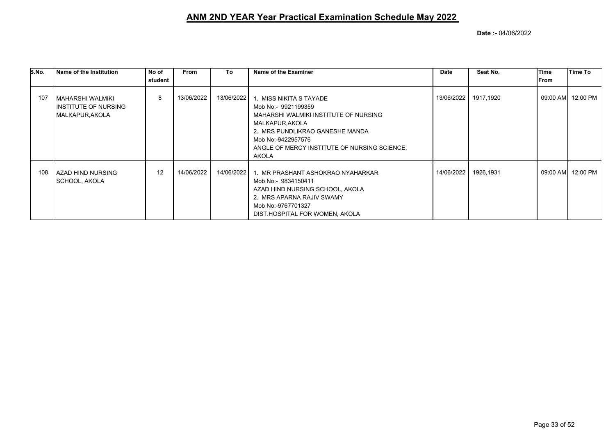| S.No. | Name of the Institution                                     | No of   | <b>From</b> | To         | Name of the Examiner                                                                                                                                                                                                                    | Date       | Seat No.  | <b>Time</b> | Time To           |
|-------|-------------------------------------------------------------|---------|-------------|------------|-----------------------------------------------------------------------------------------------------------------------------------------------------------------------------------------------------------------------------------------|------------|-----------|-------------|-------------------|
|       |                                                             | student |             |            |                                                                                                                                                                                                                                         |            |           | From        |                   |
| 107   | MAHARSHI WALMIKI<br>INSTITUTE OF NURSING<br>MALKAPUR, AKOLA | 8       | 13/06/2022  |            | 13/06/2022 1. MISS NIKITA S TAYADE<br>Mob No:- 9921199359<br>MAHARSHI WALMIKI INSTITUTE OF NURSING<br>MALKAPUR, AKOLA<br>2. MRS PUNDLIKRAO GANESHE MANDA<br>Mob No:-9422957576<br>ANGLE OF MERCY INSTITUTE OF NURSING SCIENCE,<br>AKOLA | 13/06/2022 | 1917,1920 |             | 09:00 AM 12:00 PM |
| 108   | AZAD HIND NURSING<br>SCHOOL, AKOLA                          | 12      | 14/06/2022  | 14/06/2022 | 1. MR PRASHANT ASHOKRAO NYAHARKAR<br>Mob No:- 9834150411<br>AZAD HIND NURSING SCHOOL, AKOLA<br>2. MRS APARNA RAJIV SWAMY<br>Mob No:-9767701327<br>DIST.HOSPITAL FOR WOMEN, AKOLA                                                        | 14/06/2022 | 1926,1931 |             | 09:00 AM 12:00 PM |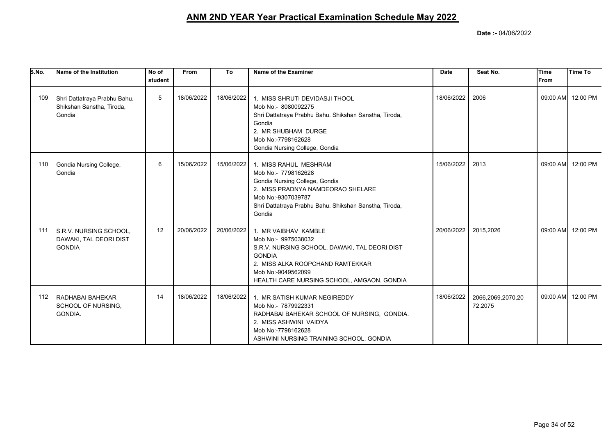| S.No. | Name of the Institution                                             | No of<br>student | <b>From</b> | To         | Name of the Examiner                                                                                                                                                                                                  | <b>Date</b> | Seat No.                     | Time<br><b>IFrom</b> | <b>Time To</b>    |
|-------|---------------------------------------------------------------------|------------------|-------------|------------|-----------------------------------------------------------------------------------------------------------------------------------------------------------------------------------------------------------------------|-------------|------------------------------|----------------------|-------------------|
| 109   | Shri Dattatraya Prabhu Bahu.<br>Shikshan Sanstha, Tiroda,<br>Gondia | 5                | 18/06/2022  | 18/06/2022 | 1. MISS SHRUTI DEVIDASJI THOOL<br>Mob No:- 8080092275<br>Shri Dattatraya Prabhu Bahu. Shikshan Sanstha, Tiroda,<br>Gondia<br>2. MR SHUBHAM DURGE<br>Mob No:-7798162628<br>Gondia Nursing College, Gondia              | 18/06/2022  | 2006                         |                      | 09:00 AM 12:00 PM |
| 110   | Gondia Nursing College,<br>Gondia                                   | 6                | 15/06/2022  | 15/06/2022 | 1. MISS RAHUL MESHRAM<br>Mob No:- 7798162628<br>Gondia Nursing College, Gondia<br>2. MISS PRADNYA NAMDEORAO SHELARE<br>Mob No:-9307039787<br>Shri Dattatraya Prabhu Bahu. Shikshan Sanstha, Tiroda,<br>Gondia         | 15/06/2022  | 2013                         |                      | 09:00 AM 12:00 PM |
| 111   | S.R.V. NURSING SCHOOL,<br>DAWAKI, TAL DEORI DIST<br><b>GONDIA</b>   | 12               | 20/06/2022  | 20/06/2022 | 1. MR VAIBHAV KAMBLE<br>Mob No:- 9975038032<br>S.R.V. NURSING SCHOOL, DAWAKI, TAL DEORI DIST<br><b>GONDIA</b><br>2. MISS ALKA ROOPCHAND RAMTEKKAR<br>Mob No:-9049562099<br>HEALTH CARE NURSING SCHOOL, AMGAON, GONDIA | 20/06/2022  | 2015,2026                    |                      | 09:00 AM 12:00 PM |
| 112   | RADHABAI BAHEKAR<br>SCHOOL OF NURSING.<br>GONDIA.                   | 14               | 18/06/2022  | 18/06/2022 | 1. MR SATISH KUMAR NEGIREDDY<br>Mob No:- 7879922331<br>RADHABAI BAHEKAR SCHOOL OF NURSING, GONDIA.<br>2. MISS ASHWINI VAIDYA<br>Mob No:-7798162628<br>ASHWINI NURSING TRAINING SCHOOL, GONDIA                         | 18/06/2022  | 2066,2069,2070,20<br>72,2075 |                      | 09:00 AM 12:00 PM |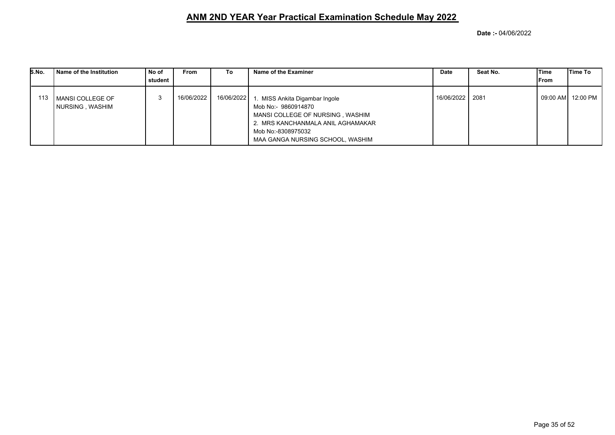| S.No. |     | Name of the Institution                | No of<br>student | <b>From</b> | To         | Name of the Examiner                                                                                                                                                                  | <b>Date</b>     | Seat No. | iTime<br>From | lTime To           |
|-------|-----|----------------------------------------|------------------|-------------|------------|---------------------------------------------------------------------------------------------------------------------------------------------------------------------------------------|-----------------|----------|---------------|--------------------|
|       | 113 | l MANSI COLLEGE OF<br>NURSING , WASHIM |                  | 16/06/2022  | 16/06/2022 | MISS Ankita Digambar Ingole<br>Mob No:- 9860914870<br>MANSI COLLEGE OF NURSING, WASHIM<br>2. MRS KANCHANMALA ANIL AGHAMAKAR<br>Mob No:-8308975032<br>MAA GANGA NURSING SCHOOL, WASHIM | 16/06/2022 2081 |          |               | 09:00 AM  12:00 PM |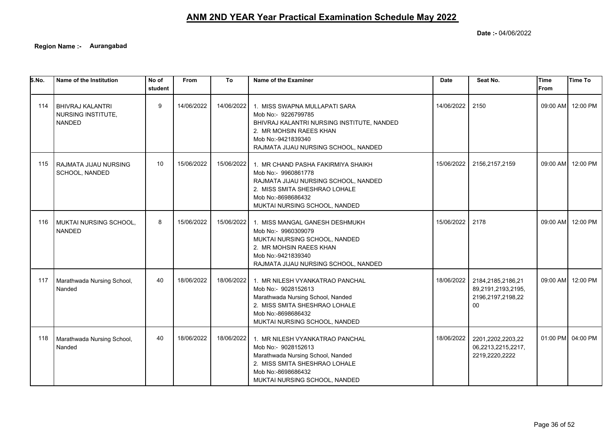**Date :-** 04/06/2022

**Region Name :- Aurangabad**

| 5.No. | Name of the Institution                                        | No of<br>student | From       | To         | Name of the Examiner                                                                                                                                                                        | <b>Date</b> | Seat No.                                                           | <b>Time</b><br>From | <b>Time To</b>    |
|-------|----------------------------------------------------------------|------------------|------------|------------|---------------------------------------------------------------------------------------------------------------------------------------------------------------------------------------------|-------------|--------------------------------------------------------------------|---------------------|-------------------|
| 114   | <b>BHIVRAJ KALANTRI</b><br>NURSING INSTITUTE,<br><b>NANDED</b> | 9                | 14/06/2022 | 14/06/2022 | 1. MISS SWAPNA MULLAPATI SARA<br>Mob No:- 9226799785<br>BHIVRAJ KALANTRI NURSING INSTITUTE, NANDED<br>2. MR MOHSIN RAEES KHAN<br>Mob No:-9421839340<br>RAJMATA JIJAU NURSING SCHOOL, NANDED | 14/06/2022  | 2150                                                               |                     | 09:00 AM 12:00 PM |
| 115   | RAJMATA JIJAU NURSING<br>SCHOOL, NANDED                        | 10               | 15/06/2022 | 15/06/2022 | 1. MR CHAND PASHA FAKIRMIYA SHAIKH<br>Mob No:- 9960861778<br>RAJMATA JIJAU NURSING SCHOOL, NANDED<br>2. MISS SMITA SHESHRAO LOHALE<br>Mob No:-8698686432<br>MUKTAI NURSING SCHOOL, NANDED   | 15/06/2022  | 2156,2157,2159                                                     | 09:00 AM            | 12:00 PM          |
| 116   | MUKTAI NURSING SCHOOL,<br><b>NANDED</b>                        | 8                | 15/06/2022 | 15/06/2022 | 1. MISS MANGAL GANESH DESHMUKH<br>Mob No:- 9960309079<br>MUKTAI NURSING SCHOOL, NANDED<br>2. MR MOHSIN RAEES KHAN<br>Mob No:-9421839340<br>RAJMATA JIJAU NURSING SCHOOL, NANDED             | 15/06/2022  | 2178                                                               | 09:00 AM            | 12:00 PM          |
| 117   | Marathwada Nursing School,<br>Nanded                           | 40               | 18/06/2022 | 18/06/2022 | 1. MR NILESH VYANKATRAO PANCHAL<br>Mob No:- 9028152613<br>Marathwada Nursing School, Nanded<br>2. MISS SMITA SHESHRAO LOHALE<br>Mob No:-8698686432<br>MUKTAI NURSING SCHOOL, NANDED         | 18/06/2022  | 2184,2185,2186,21<br>89,2191,2193,2195,<br>2196,2197,2198,22<br>00 | 09:00 AM            | 12:00 PM          |
| 118   | Marathwada Nursing School,<br>Nanded                           | 40               | 18/06/2022 | 18/06/2022 | 1. MR NILESH VYANKATRAO PANCHAL<br>Mob No:- 9028152613<br>Marathwada Nursing School, Nanded<br>2. MISS SMITA SHESHRAO LOHALE<br>Mob No:-8698686432<br>MUKTAI NURSING SCHOOL, NANDED         | 18/06/2022  | 2201,2202,2203,22<br>06,2213,2215,2217,<br>2219,2220,2222          |                     | 01:00 PM 04:00 PM |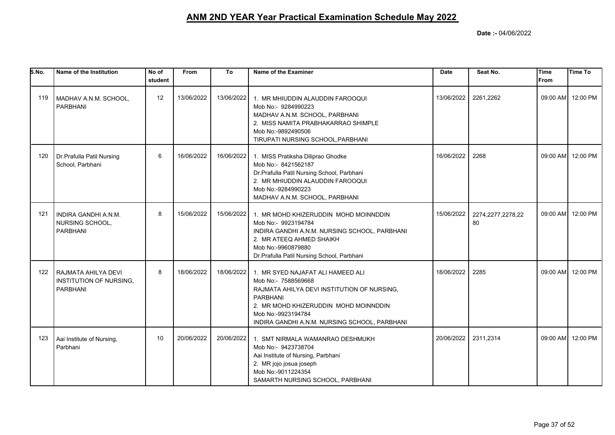| 5. No. | Name of the Institution                                           | No of<br>student | <b>From</b> | To         | Name of the Examiner                                                                                                                                                                                                                       | <b>Date</b> | Seat No.                | Time<br>From | <b>Time To</b>    |
|--------|-------------------------------------------------------------------|------------------|-------------|------------|--------------------------------------------------------------------------------------------------------------------------------------------------------------------------------------------------------------------------------------------|-------------|-------------------------|--------------|-------------------|
| 119    | MADHAV A.N.M. SCHOOL,<br>PARBHANI                                 | 12               | 13/06/2022  | 13/06/2022 | 1. MR MHIUDDIN ALAUDDIN FAROOQUI<br>Mob No:- 9284990223<br>MADHAV A.N.M. SCHOOL, PARBHANI<br>2. MISS NAMITA PRABHAKARRAO SHIMPLE<br>Mob No:-9892490506<br>TIRUPATI NURSING SCHOOL, PARBHANI                                                | 13/06/2022  | 2261,2262               |              | 09:00 AM 12:00 PM |
| 120    | Dr. Prafulla Patil Nursing<br>School, Parbhani                    | 6                | 16/06/2022  | 16/06/2022 | 1. MISS Pratiksha Diliprao Ghodke<br>Mob No:- 8421562187<br>Dr.Prafulla Patil Nursing School, Parbhani<br>2. MR MHIUDDIN ALAUDDIN FAROOQUI<br>Mob No:-9284990223<br>MADHAV A.N.M. SCHOOL, PARBHANI                                         | 16/06/2022  | 2268                    |              | 09:00 AM 12:00 PM |
| 121    | INDIRA GANDHI A.N.M.<br>NURSING SCHOOL,<br><b>PARBHANI</b>        | 8                | 15/06/2022  | 15/06/2022 | 1. MR MOHD KHIZERUDDIN MOHD MOINNDDIN<br>Mob No:- 9923194784<br>INDIRA GANDHI A.N.M. NURSING SCHOOL, PARBHANI<br>2. MR ATEEQ AHMED SHAIKH<br>Mob No:-9960879880<br>Dr. Prafulla Patil Nursing School, Parbhani                             | 15/06/2022  | 2274,2277,2278,22<br>80 |              | 09:00 AM 12:00 PM |
| 122    | RAJMATA AHILYA DEVI<br>INSTITUTION OF NURSING,<br><b>PARBHANI</b> | 8                | 18/06/2022  | 18/06/2022 | 1. MR SYED NAJAFAT ALI HAMEED ALI<br>Mob No:- 7588569668<br>RAJMATA AHILYA DEVI INSTITUTION OF NURSING,<br><b>PARBHANI</b><br>2. MR MOHD KHIZERUDDIN MOHD MOINNDDIN<br>Mob No:-9923194784<br>INDIRA GANDHI A.N.M. NURSING SCHOOL, PARBHANI | 18/06/2022  | 2285                    |              | 09:00 AM 12:00 PM |
| 123    | Aai Institute of Nursing,<br>Parbhani                             | 10               | 20/06/2022  | 20/06/2022 | 1. SMT NIRMALA WAMANRAO DESHMUKH<br>Mob No:- 9423738704<br>Aai Institute of Nursing, Parbhani<br>2. MR jojo josua joseph<br>Mob No:-9011224354<br>SAMARTH NURSING SCHOOL, PARBHANI                                                         | 20/06/2022  | 2311,2314               |              | 09:00 AM 12:00 PM |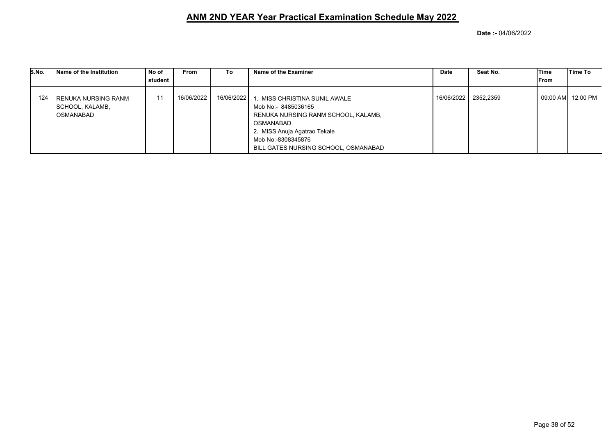| S.No. | Name of the Institution                                   | No of<br>student | <b>From</b> | To         | Name of the Examiner                                                                                                                                                                                   | <b>Date</b> | Seat No.             | lTime<br>From | lTime To |
|-------|-----------------------------------------------------------|------------------|-------------|------------|--------------------------------------------------------------------------------------------------------------------------------------------------------------------------------------------------------|-------------|----------------------|---------------|----------|
| 124   | l RENUKA NURSING RANM<br>  SCHOOL, KALAMB,<br>l OSMANABAD | 11               | 16/06/2022  | 16/06/2022 | 1. MISS CHRISTINA SUNIL AWALE<br>Mob No:- 8485036165<br>RENUKA NURSING RANM SCHOOL, KALAMB,<br>OSMANABAD<br>2. MISS Anuja Agatrao Tekale<br>Mob No:-8308345876<br>BILL GATES NURSING SCHOOL, OSMANABAD |             | 16/06/2022 2352,2359 |               |          |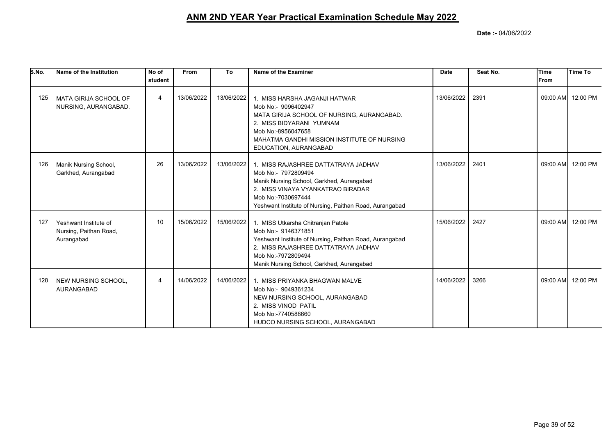| S.No. | Name of the Institution                                       | No of<br>student | From       | To         | Name of the Examiner                                                                                                                                                                                                           | Date       | Seat No. | Time<br>lFrom | <b>Time To</b>    |
|-------|---------------------------------------------------------------|------------------|------------|------------|--------------------------------------------------------------------------------------------------------------------------------------------------------------------------------------------------------------------------------|------------|----------|---------------|-------------------|
| 125   | <b>MATA GIRIJA SCHOOL OF</b><br>NURSING, AURANGABAD.          | 4                | 13/06/2022 | 13/06/2022 | 1. MISS HARSHA JAGANJI HATWAR<br>Mob No:- 9096402947<br>MATA GIRIJA SCHOOL OF NURSING, AURANGABAD.<br>2. MISS BIDYARANI YUMNAM<br>Mob No:-8956047658<br>MAHATMA GANDHI MISSION INSTITUTE OF NURSING<br>EDUCATION, AURANGABAD   | 13/06/2022 | 2391     |               | 09:00 AM 12:00 PM |
| 126   | Manik Nursing School,<br>Garkhed, Aurangabad                  | 26               | 13/06/2022 | 13/06/2022 | 1. MISS RAJASHREE DATTATRAYA JADHAV<br>Mob No:- 7972809494<br>Manik Nursing School, Garkhed, Aurangabad<br>2. MISS VINAYA VYANKATRAO BIRADAR<br>Mob No:-7030697444<br>Yeshwant Institute of Nursing, Paithan Road, Aurangabad  | 13/06/2022 | 2401     |               | 09:00 AM 12:00 PM |
| 127   | Yeshwant Institute of<br>Nursing, Paithan Road,<br>Aurangabad | 10               | 15/06/2022 | 15/06/2022 | 1. MISS Utkarsha Chitranjan Patole<br>Mob No:- 9146371851<br>Yeshwant Institute of Nursing, Paithan Road, Aurangabad<br>2. MISS RAJASHREE DATTATRAYA JADHAV<br>Mob No:-7972809494<br>Manik Nursing School, Garkhed, Aurangabad | 15/06/2022 | 2427     |               | 09:00 AM 12:00 PM |
| 128   | NEW NURSING SCHOOL,<br><b>AURANGABAD</b>                      | 4                | 14/06/2022 | 14/06/2022 | 1. MISS PRIYANKA BHAGWAN MALVE<br>Mob No:- 9049361234<br>NEW NURSING SCHOOL, AURANGABAD<br>2. MISS VINOD PATIL<br>Mob No:-7740588660<br>HUDCO NURSING SCHOOL, AURANGABAD                                                       | 14/06/2022 | 3266     |               | 09:00 AM 12:00 PM |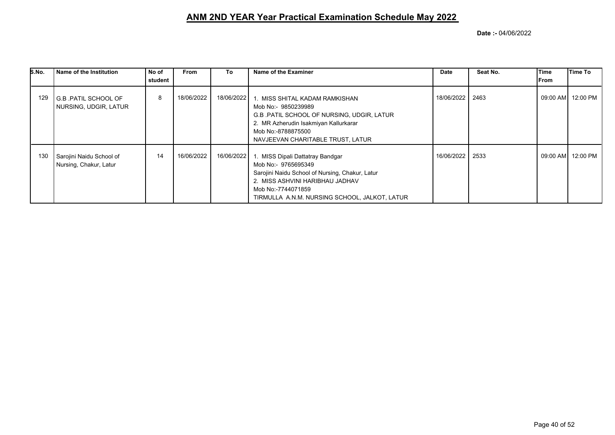| S.No. | Name of the Institution                                | No of   | From       | To         | Name of the Examiner                                                                                                                                                                                                 | Date       | Seat No. | Time         | Time To           |
|-------|--------------------------------------------------------|---------|------------|------------|----------------------------------------------------------------------------------------------------------------------------------------------------------------------------------------------------------------------|------------|----------|--------------|-------------------|
|       |                                                        | student |            |            |                                                                                                                                                                                                                      |            |          | <b>IFrom</b> |                   |
| 129   | <b>I</b> G.B .PATIL SCHOOL OF<br>NURSING, UDGIR, LATUR | 8       | 18/06/2022 | 18/06/2022 | 1. MISS SHITAL KADAM RAMKISHAN<br>Mob No:- 9850239989<br>G.B. PATIL SCHOOL OF NURSING, UDGIR, LATUR<br>2. MR Azherudin Isakmiyan Kallurkarar<br>Mob No:-8788875500<br>NAVJEEVAN CHARITABLE TRUST, LATUR              | 18/06/2022 | 2463     |              | 09:00 AM 12:00 PM |
| 130   | Sarojini Naidu School of<br>Nursing, Chakur, Latur     | 14      | 16/06/2022 | 16/06/2022 | 1. MISS Dipali Dattatray Bandgar<br>Mob No:- 9765695349<br>Sarojini Naidu School of Nursing, Chakur, Latur<br>2. MISS ASHVINI HARIBHAU JADHAV<br>Mob No:-7744071859<br>TIRMULLA A.N.M. NURSING SCHOOL, JALKOT, LATUR | 16/06/2022 | 2533     |              | 09:00 AM 12:00 PM |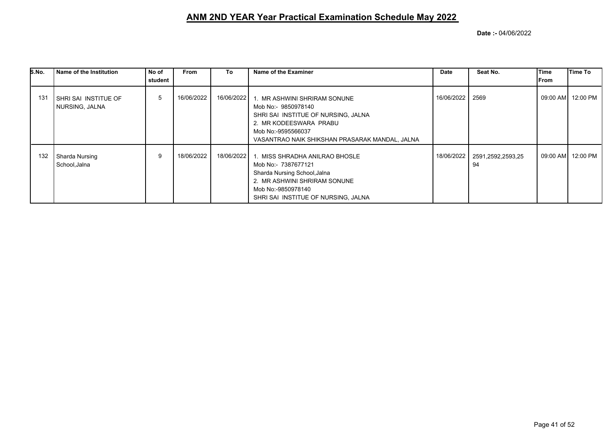| S.No. | Name of the Institution                           | No of   | <b>From</b> | To         | Name of the Examiner                                                                                                                                                                                    | Date       | Seat No.                | Time  | <b>Time To</b>    |
|-------|---------------------------------------------------|---------|-------------|------------|---------------------------------------------------------------------------------------------------------------------------------------------------------------------------------------------------------|------------|-------------------------|-------|-------------------|
|       |                                                   | student |             |            |                                                                                                                                                                                                         |            |                         | lFrom |                   |
| 131   | <b>I SHRI SAI INSTITUE OF</b><br>  NURSING, JALNA | 5       | 16/06/2022  |            | 16/06/2022 1. MR ASHWINI SHRIRAM SONUNE<br>Mob No:- 9850978140<br>SHRI SAI INSTITUE OF NURSING, JALNA<br>2. MR KODEESWARA PRABU<br>Mob No:-9595566037<br>VASANTRAO NAIK SHIKSHAN PRASARAK MANDAL, JALNA | 16/06/2022 | 2569                    |       | 09:00 AM 12:00 PM |
| 132   | Sharda Nursing<br>School,Jalna                    | 9       | 18/06/2022  | 18/06/2022 | MISS SHRADHA ANILRAO BHOSLE<br>Mob No:- 7387677121<br>Sharda Nursing School, Jalna<br>2. MR ASHWINI SHRIRAM SONUNE<br>Mob No:-9850978140<br>SHRI SAI INSTITUE OF NURSING, JALNA                         | 18/06/2022 | 2591,2592,2593,25<br>94 |       | 09:00 AM 12:00 PM |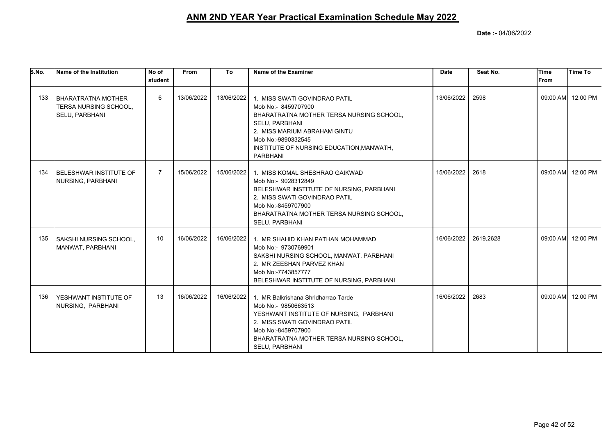| S.No. | Name of the Institution                                       | No of<br>student | From       | To         | Name of the Examiner                                                                                                                                                                                                                    | <b>Date</b> | Seat No.  | <b>Time</b><br><b>IFrom</b> | Time To           |
|-------|---------------------------------------------------------------|------------------|------------|------------|-----------------------------------------------------------------------------------------------------------------------------------------------------------------------------------------------------------------------------------------|-------------|-----------|-----------------------------|-------------------|
| 133   | BHARATRATNA MOTHER<br>TERSA NURSING SCHOOL,<br>SELU, PARBHANI | 6                | 13/06/2022 | 13/06/2022 | 1. MISS SWATI GOVINDRAO PATIL<br>Mob No:- 8459707900<br>BHARATRATNA MOTHER TERSA NURSING SCHOOL,<br>SELU, PARBHANI<br>2. MISS MARIUM ABRAHAM GINTU<br>Mob No:-9890332545<br>INSTITUTE OF NURSING EDUCATION, MANWATH,<br><b>PARBHANI</b> | 13/06/2022  | 2598      |                             | 09:00 AM 12:00 PM |
| 134   | BELESHWAR INSTITUTE OF<br>NURSING, PARBHANI                   | $\overline{7}$   | 15/06/2022 |            | 15/06/2022 1. MISS KOMAL SHESHRAO GAIKWAD<br>Mob No:- 9028312849<br>BELESHWAR INSTITUTE OF NURSING, PARBHANI<br>2. MISS SWATI GOVINDRAO PATIL<br>Mob No:-8459707900<br>BHARATRATNA MOTHER TERSA NURSING SCHOOL,<br>SELU, PARBHANI       | 15/06/2022  | 2618      |                             | 09:00 AM 12:00 PM |
| 135   | SAKSHI NURSING SCHOOL,<br>MANWAT, PARBHANI                    | 10               | 16/06/2022 |            | 16/06/2022 1. MR SHAHID KHAN PATHAN MOHAMMAD<br>Mob No:- 9730769901<br>SAKSHI NURSING SCHOOL, MANWAT, PARBHANI<br>2. MR ZEESHAN PARVEZ KHAN<br>Mob No:-7743857777<br>BELESHWAR INSTITUTE OF NURSING, PARBHANI                           | 16/06/2022  | 2619,2628 |                             | 09:00 AM 12:00 PM |
| 136   | YESHWANT INSTITUTE OF<br>NURSING, PARBHANI                    | 13               | 16/06/2022 | 16/06/2022 | 1. MR Balkrishana Shridharrao Tarde<br>Mob No:- 9850663513<br>YESHWANT INSTITUTE OF NURSING, PARBHANI<br>2. MISS SWATI GOVINDRAO PATIL<br>Mob No:-8459707900<br>BHARATRATNA MOTHER TERSA NURSING SCHOOL,<br>SELU, PARBHANI              | 16/06/2022  | 2683      |                             | 09:00 AM 12:00 PM |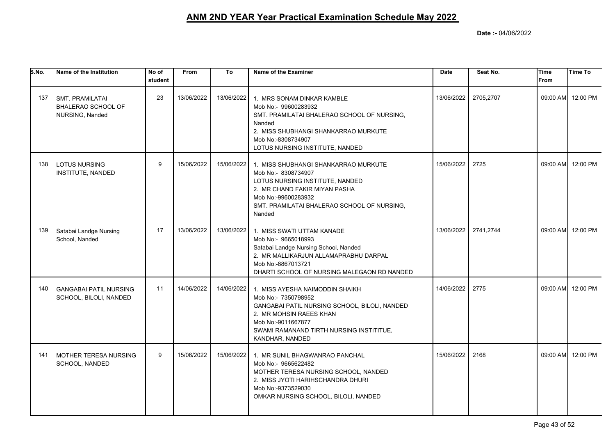| S.No. | Name of the Institution                                         | No of<br>student | From       | To         | Name of the Examiner                                                                                                                                                                                                    | <b>Date</b> | Seat No.  | <b>Time</b><br>From | Time To           |
|-------|-----------------------------------------------------------------|------------------|------------|------------|-------------------------------------------------------------------------------------------------------------------------------------------------------------------------------------------------------------------------|-------------|-----------|---------------------|-------------------|
| 137   | <b>SMT. PRAMILATAI</b><br>BHALERAO SCHOOL OF<br>NURSING, Nanded | 23               | 13/06/2022 | 13/06/2022 | 1. MRS SONAM DINKAR KAMBLE<br>Mob No:- 99600283932<br>SMT. PRAMILATAI BHALERAO SCHOOL OF NURSING,<br>Nanded<br>2. MISS SHUBHANGI SHANKARRAO MURKUTE<br>Mob No:-8308734907<br>LOTUS NURSING INSTITUTE, NANDED            | 13/06/2022  | 2705,2707 |                     | 09:00 AM 12:00 PM |
| 138   | <b>LOTUS NURSING</b><br>INSTITUTE, NANDED                       | 9                | 15/06/2022 | 15/06/2022 | 1. MISS SHUBHANGI SHANKARRAO MURKUTE<br>Mob No:- 8308734907<br>LOTUS NURSING INSTITUTE, NANDED<br>2. MR CHAND FAKIR MIYAN PASHA<br>Mob No:-99600283932<br>SMT. PRAMILATAI BHALERAO SCHOOL OF NURSING,<br>Nanded         | 15/06/2022  | 2725      |                     | 09:00 AM 12:00 PM |
| 139   | Satabai Landge Nursing<br>School, Nanded                        | 17               | 13/06/2022 | 13/06/2022 | 1. MISS SWATI UTTAM KANADE<br>Mob No:- 9665018993<br>Satabai Landge Nursing School, Nanded<br>2. MR MALLIKARJUN ALLAMAPRABHU DARPAL<br>Mob No:-8867013721<br>DHARTI SCHOOL OF NURSING MALEGAON RD NANDED                | 13/06/2022  | 2741,2744 |                     | 09:00 AM 12:00 PM |
| 140   | <b>GANGABAI PATIL NURSING</b><br>SCHOOL, BILOLI, NANDED         | 11               | 14/06/2022 | 14/06/2022 | 1. MISS AYESHA NAIMODDIN SHAIKH<br>Mob No:- 7350798952<br>GANGABAI PATIL NURSING SCHOOL, BILOLI, NANDED<br>2. MR MOHSIN RAEES KHAN<br>Mob No:-9011667877<br>SWAMI RAMANAND TIRTH NURSING INSTITITUE,<br>KANDHAR, NANDED | 14/06/2022  | 2775      |                     | 09:00 AM 12:00 PM |
| 141   | <b>MOTHER TERESA NURSING</b><br>SCHOOL, NANDED                  | 9                | 15/06/2022 | 15/06/2022 | 1. MR SUNIL BHAGWANRAO PANCHAL<br>Mob No:- 9665622482<br>MOTHER TERESA NURSING SCHOOL, NANDED<br>2. MISS JYOTI HARIHSCHANDRA DHURI<br>Mob No:-9373529030<br>OMKAR NURSING SCHOOL, BILOLI, NANDED                        | 15/06/2022  | 2168      | 09:00 AM            | 12:00 PM          |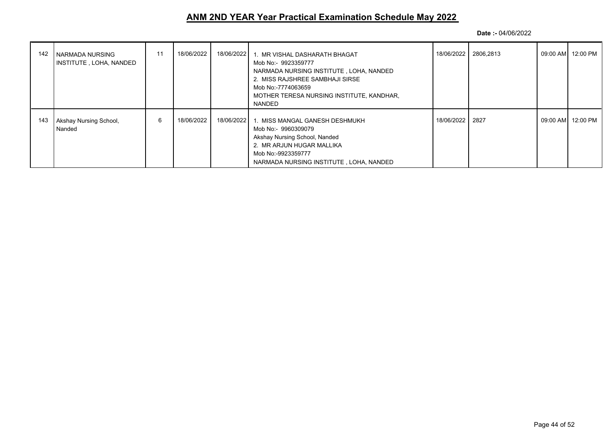| 142 | I NARMADA NURSING<br>INSTITUTE, LOHA, NANDED | 11 | 18/06/2022 | 18/06/2022 | 1. MR VISHAL DASHARATH BHAGAT<br>Mob No:- 9923359777<br>NARMADA NURSING INSTITUTE, LOHA, NANDED<br>2. MISS RAJSHREE SAMBHAJI SIRSE<br>Mob No:-7774063659<br>MOTHER TERESA NURSING INSTITUTE, KANDHAR,<br>NANDED |                 | 18/06/2022 2806,2813 | 09:00 AM  12:00 PM |
|-----|----------------------------------------------|----|------------|------------|-----------------------------------------------------------------------------------------------------------------------------------------------------------------------------------------------------------------|-----------------|----------------------|--------------------|
| 143 | Akshay Nursing School,<br>Nanded             | 6  | 18/06/2022 | 18/06/2022 | 1. MISS MANGAL GANESH DESHMUKH<br>Mob No:- 9960309079<br>Akshay Nursing School, Nanded<br>2. MR ARJUN HUGAR MALLIKA<br>Mob No:-9923359777<br>NARMADA NURSING INSTITUTE, LOHA, NANDED                            | 18/06/2022 2827 |                      | 09:00 AM  12:00 PM |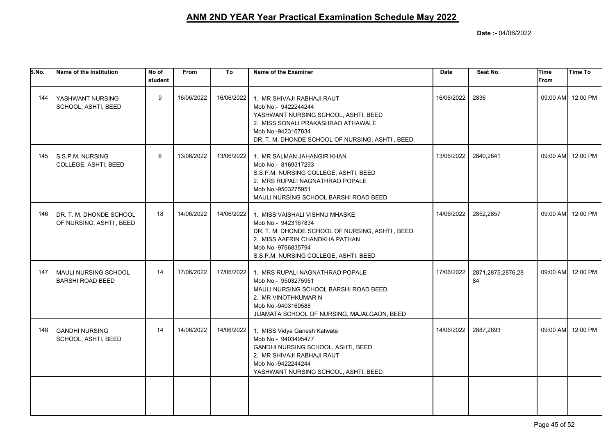| S.No. | Name of the Institution                            | No of<br>student | From       | To         | Name of the Examiner                                                                                                                                                                                      | <b>Date</b> | Seat No.                | <b>Time</b><br><b>From</b> | Time To           |
|-------|----------------------------------------------------|------------------|------------|------------|-----------------------------------------------------------------------------------------------------------------------------------------------------------------------------------------------------------|-------------|-------------------------|----------------------------|-------------------|
| 144   | YASHWANT NURSING<br>SCHOOL, ASHTI, BEED            | 9                | 16/06/2022 | 16/06/2022 | 1. MR SHIVAJI RABHAJI RAUT<br>Mob No:- 9422244244<br>YASHWANT NURSING SCHOOL, ASHTI, BEED<br>2. MISS SONALI PRAKASHRAO ATHAWALE<br>Mob No:-9423167834<br>DR. T. M. DHONDE SCHOOL OF NURSING, ASHTI, BEED  | 16/06/2022  | 2836                    |                            | 09:00 AM 12:00 PM |
| 145   | S.S.P.M. NURSING<br>COLLEGE, ASHTI, BEED           | 6                | 13/06/2022 | 13/06/2022 | 1. MR SALMAN JAHANGIR KHAN<br>Mob No:- 8169317293<br>S.S.P.M. NURSING COLLEGE, ASHTI, BEED<br>2. MRS RUPALI NAGNATHRAO POPALE<br>Mob No:-9503275951<br>MAULI NURSING SCHOOL BARSHI ROAD BEED              | 13/06/2022  | 2840,2841               |                            | 09:00 AM 12:00 PM |
| 146   | DR. T. M. DHONDE SCHOOL<br>OF NURSING, ASHTI, BEED | 18               | 14/06/2022 | 14/06/2022 | 1. MISS VAISHALI VISHNU MHASKE<br>Mob No:- 9423167834<br>DR. T. M. DHONDE SCHOOL OF NURSING, ASHTI, BEED<br>2. MISS AAFRIN CHANDKHA PATHAN<br>Mob No:-9766835794<br>S.S.P.M. NURSING COLLEGE, ASHTI, BEED | 14/06/2022  | 2852,2857               |                            | 09:00 AM 12:00 PM |
| 147   | MAULI NURSING SCHOOL<br><b>BARSHI ROAD BEED</b>    | 14               | 17/06/2022 | 17/06/2022 | 1. MRS RUPALI NAGNATHRAO POPALE<br>Mob No:- 9503275951<br>MAULI NURSING SCHOOL BARSHI ROAD BEED<br>2. MR VINOTHKUMAR N<br>Mob No:-9403169588<br>JIJAMATA SCHOOL OF NURSING, MAJALGAON, BEED               | 17/06/2022  | 2871,2875,2876,28<br>84 |                            | 09:00 AM 12:00 PM |
| 148   | <b>GANDHI NURSING</b><br>SCHOOL, ASHTI, BEED       | 14               | 14/06/2022 | 14/06/2022 | 1. MISS Vidya Ganesh Katwate<br>Mob No:- 9403495477<br>GANDHI NURSING SCHOOL, ASHTI, BEED<br>2. MR SHIVAJI RABHAJI RAUT<br>Mob No:-9422244244<br>YASHWANT NURSING SCHOOL, ASHTI, BEED                     | 14/06/2022  | 2887,2893               |                            | 09:00 AM 12:00 PM |
|       |                                                    |                  |            |            |                                                                                                                                                                                                           |             |                         |                            |                   |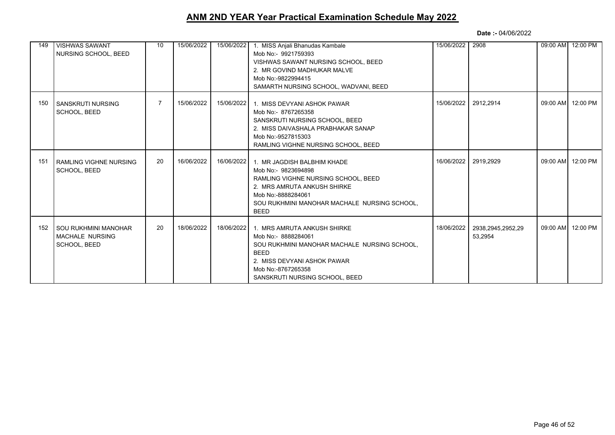| 149 | <b>VISHWAS SAWANT</b><br>NURSING SCHOOL, BEED                  | 10             | 15/06/2022 | 15/06/2022 | 1. MISS Anjali Bhanudas Kambale<br>Mob No:- 9921759393<br>VISHWAS SAWANT NURSING SCHOOL, BEED<br>2. MR GOVIND MADHUKAR MALVE<br>Mob No:-9822994415<br>SAMARTH NURSING SCHOOL, WADVANI, BEED                   | 15/06/2022 | 2908                         | 09:00 AM 12:00 PM |
|-----|----------------------------------------------------------------|----------------|------------|------------|---------------------------------------------------------------------------------------------------------------------------------------------------------------------------------------------------------------|------------|------------------------------|-------------------|
| 150 | SANSKRUTI NURSING<br>SCHOOL, BEED                              | $\overline{7}$ | 15/06/2022 | 15/06/2022 | 1. MISS DEVYANI ASHOK PAWAR<br>Mob No: - 8767265358<br>SANSKRUTI NURSING SCHOOL, BEED<br>2. MISS DAIVASHALA PRABHAKAR SANAP<br>Mob No:-9527815303<br>RAMLING VIGHNE NURSING SCHOOL, BEED                      | 15/06/2022 | 2912,2914                    | 09:00 AM 12:00 PM |
| 151 | <b>RAMLING VIGHNE NURSING</b><br>SCHOOL, BEED                  | 20             | 16/06/2022 | 16/06/2022 | 1. MR JAGDISH BALBHIM KHADE<br>Mob No:- 9823694898<br>RAMLING VIGHNE NURSING SCHOOL, BEED<br>2. MRS AMRUTA ANKUSH SHIRKE<br>Mob No:-8888284061<br>SOU RUKHMINI MANOHAR MACHALE NURSING SCHOOL.<br><b>BEED</b> | 16/06/2022 | 2919.2929                    | 09:00 AM 12:00 PM |
| 152 | SOU RUKHMINI MANOHAR<br><b>MACHALE NURSING</b><br>SCHOOL, BEED | 20             | 18/06/2022 | 18/06/2022 | 1. MRS AMRUTA ANKUSH SHIRKE<br>Mob No:- 8888284061<br>SOU RUKHMINI MANOHAR MACHALE NURSING SCHOOL.<br><b>BEED</b><br>2. MISS DEVYANI ASHOK PAWAR<br>Mob No:-8767265358<br>SANSKRUTI NURSING SCHOOL, BEED      | 18/06/2022 | 2938,2945,2952,29<br>53,2954 | 09:00 AM 12:00 PM |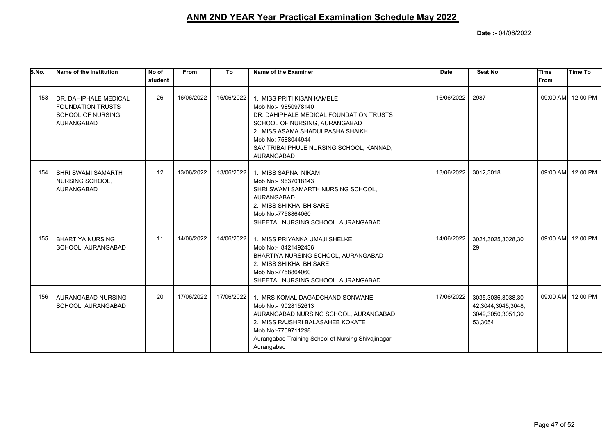| S.No. | Name of the Institution                                                                        | No of<br>student | From       | To         | Name of the Examiner                                                                                                                                                                                                                              | <b>Date</b> | Seat No.                                                                | Time<br>From | <b>Time To</b>    |
|-------|------------------------------------------------------------------------------------------------|------------------|------------|------------|---------------------------------------------------------------------------------------------------------------------------------------------------------------------------------------------------------------------------------------------------|-------------|-------------------------------------------------------------------------|--------------|-------------------|
| 153   | I DR. DAHIPHALE MEDICAL<br><b>FOUNDATION TRUSTS</b><br>SCHOOL OF NURSING,<br><b>AURANGABAD</b> | 26               | 16/06/2022 | 16/06/2022 | 1. MISS PRITI KISAN KAMBLE<br>Mob No:- 9850978140<br>DR. DAHIPHALE MEDICAL FOUNDATION TRUSTS<br>SCHOOL OF NURSING, AURANGABAD<br>2. MISS ASAMA SHADULPASHA SHAIKH<br>Mob No:-7588044944<br>SAVITRIBAI PHULE NURSING SCHOOL, KANNAD,<br>AURANGABAD | 16/06/2022  | 2987                                                                    |              | 09:00 AM 12:00 PM |
| 154   | I SHRI SWAMI SAMARTH<br>NURSING SCHOOL,<br>AURANGABAD                                          | 12               | 13/06/2022 | 13/06/2022 | 1. MISS SAPNA NIKAM<br>Mob No:- 9637018143<br>SHRI SWAMI SAMARTH NURSING SCHOOL,<br>AURANGABAD<br>2. MISS SHIKHA BHISARE<br>Mob No:-7758864060<br>SHEETAL NURSING SCHOOL, AURANGABAD                                                              | 13/06/2022  | 3012,3018                                                               |              | 09:00 AM 12:00 PM |
| 155   | <b>BHARTIYA NURSING</b><br>SCHOOL, AURANGABAD                                                  | 11               | 14/06/2022 |            | 14/06/2022 1. MISS PRIYANKA UMAJI SHELKE<br>Mob No:- 8421492436<br>BHARTIYA NURSING SCHOOL, AURANGABAD<br>2. MISS SHIKHA BHISARE<br>Mob No:-7758864060<br>SHEETAL NURSING SCHOOL, AURANGABAD                                                      | 14/06/2022  | 3024,3025,3028,30<br>29                                                 |              | 09:00 AM 12:00 PM |
| 156   | <b>AURANGABAD NURSING</b><br>SCHOOL, AURANGABAD                                                | 20               | 17/06/2022 | 17/06/2022 | 1. MRS KOMAL DAGADCHAND SONWANE<br>Mob No:- 9028152613<br>AURANGABAD NURSING SCHOOL, AURANGABAD<br>2. MISS RAJSHRI BALASAHEB KOKATE<br>Mob No:-7709711298<br>Aurangabad Training School of Nursing, Shivajinagar,<br>Aurangabad                   | 17/06/2022  | 3035,3036,3038,30<br>42,3044,3045,3048,<br>3049,3050,3051,30<br>53,3054 |              | 09:00 AM 12:00 PM |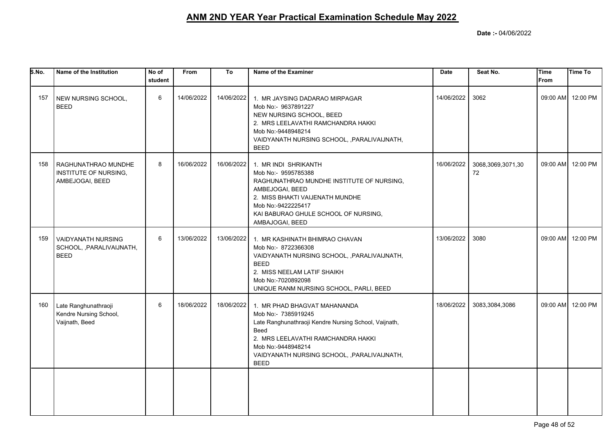| S.No. | Name of the Institution                                               | No of<br>student | <b>From</b> | To         | Name of the Examiner                                                                                                                                                                                                                            | <b>Date</b> | Seat No.                | <b>Time</b><br><b>From</b> | <b>Time To</b>    |
|-------|-----------------------------------------------------------------------|------------------|-------------|------------|-------------------------------------------------------------------------------------------------------------------------------------------------------------------------------------------------------------------------------------------------|-------------|-------------------------|----------------------------|-------------------|
| 157   | NEW NURSING SCHOOL,<br><b>BEED</b>                                    | 6                | 14/06/2022  | 14/06/2022 | 1. MR JAYSING DADARAO MIRPAGAR<br>Mob No:- 9637891227<br>NEW NURSING SCHOOL, BEED<br>2. MRS LEELAVATHI RAMCHANDRA HAKKI<br>Mob No:-9448948214<br>VAIDYANATH NURSING SCHOOL, , PARALIVAIJNATH,<br><b>BEED</b>                                    | 14/06/2022  | 3062                    |                            | 09:00 AM 12:00 PM |
| 158   | RAGHUNATHRAO MUNDHE<br>INSTITUTE OF NURSING,<br>AMBEJOGAI, BEED       | 8                | 16/06/2022  | 16/06/2022 | 1. MR INDI SHRIKANTH<br>Mob No:- 9595785388<br>RAGHUNATHRAO MUNDHE INSTITUTE OF NURSING,<br>AMBEJOGAI, BEED<br>2. MISS BHAKTI VAIJENATH MUNDHE<br>Mob No:-9422225417<br>KAI BABURAO GHULE SCHOOL OF NURSING,<br>AMBAJOGAI, BEED                 | 16/06/2022  | 3068,3069,3071,30<br>72 |                            | 09:00 AM 12:00 PM |
| 159   | <b>VAIDYANATH NURSING</b><br>SCHOOL, , PARALIVAIJNATH,<br><b>BEED</b> | 6                | 13/06/2022  | 13/06/2022 | 1. MR KASHINATH BHIMRAO CHAVAN<br>Mob No:- 8722366308<br>VAIDYANATH NURSING SCHOOL, , PARALIVAIJNATH,<br><b>BEED</b><br>2. MISS NEELAM LATIF SHAIKH<br>Mob No:-7020892098<br>UNIQUE RANM NURSING SCHOOL, PARLI, BEED                            | 13/06/2022  | 3080                    |                            | 09:00 AM 12:00 PM |
| 160   | Late Ranghunathraoji<br>Kendre Nursing School,<br>Vaijnath, Beed      | 6                | 18/06/2022  | 18/06/2022 | 1. MR PHAD BHAGVAT MAHANANDA<br>Mob No:- 7385919245<br>Late Ranghunathraoji Kendre Nursing School, Vaijnath,<br>Beed<br>2. MRS LEELAVATHI RAMCHANDRA HAKKI<br>Mob No:-9448948214<br>VAIDYANATH NURSING SCHOOL, , PARALIVAIJNATH,<br><b>BEED</b> | 18/06/2022  | 3083,3084,3086          |                            | 09:00 AM 12:00 PM |
|       |                                                                       |                  |             |            |                                                                                                                                                                                                                                                 |             |                         |                            |                   |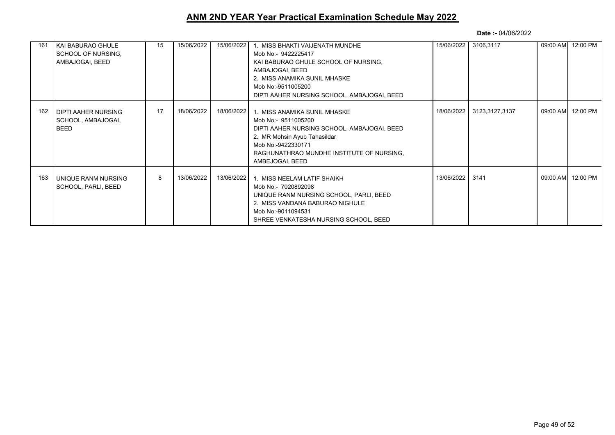| 161 | KAI BABURAO GHULE<br>SCHOOL OF NURSING.<br>AMBAJOGAI, BEED | 15 | 15/06/2022 | 15/06/2022 | 1. MISS BHAKTI VAIJENATH MUNDHE<br>Mob No:- 9422225417<br>KAI BABURAO GHULE SCHOOL OF NURSING,<br>AMBAJOGAI, BEED<br>2. MISS ANAMIKA SUNIL MHASKE<br>Mob No:-9511005200<br>DIPTI AAHER NURSING SCHOOL, AMBAJOGAI, BEED   | 15/06/2022      | 3106,3117                 | 09:00 AM 12:00 PM |
|-----|------------------------------------------------------------|----|------------|------------|--------------------------------------------------------------------------------------------------------------------------------------------------------------------------------------------------------------------------|-----------------|---------------------------|-------------------|
| 162 | <b>DIPTI AAHER NURSING</b><br>SCHOOL, AMBAJOGAI,<br>BEED   | 17 | 18/06/2022 | 18/06/2022 | 1. MISS ANAMIKA SUNIL MHASKE<br>Mob No:- 9511005200<br>DIPTI AAHER NURSING SCHOOL, AMBAJOGAI, BEED<br>2. MR Mohsin Ayub Tahasildar<br>Mob No:-9422330171<br>RAGHUNATHRAO MUNDHE INSTITUTE OF NURSING,<br>AMBEJOGAI, BEED |                 | 18/06/2022 3123,3127,3137 | 09:00 AM 12:00 PM |
| 163 | UNIQUE RANM NURSING<br><b>SCHOOL, PARLI, BEED</b>          | 8  | 13/06/2022 | 13/06/2022 | 1. MISS NEELAM LATIF SHAIKH<br>Mob No:- 7020892098<br>UNIQUE RANM NURSING SCHOOL, PARLI, BEED<br>2. MISS VANDANA BABURAO NIGHULE<br>Mob No:-9011094531<br>SHREE VENKATESHA NURSING SCHOOL, BEED                          | 13/06/2022 3141 |                           | 09:00 AM 12:00 PM |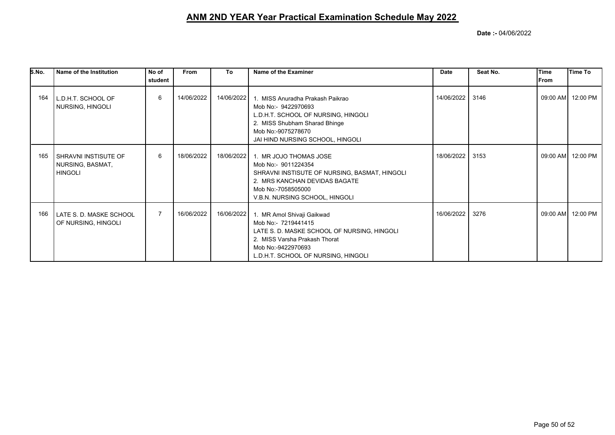| S.No. | Name of the Institution                                      | No of<br>student | <b>From</b> | To         | Name of the Examiner                                                                                                                                                                           | <b>Date</b> | Seat No. | Time<br><b>IFrom</b> | <b>Time To</b>    |
|-------|--------------------------------------------------------------|------------------|-------------|------------|------------------------------------------------------------------------------------------------------------------------------------------------------------------------------------------------|-------------|----------|----------------------|-------------------|
| 164   | L.D.H.T. SCHOOL OF<br>  NURSING, HINGOLI                     | 6                | 14/06/2022  | 14/06/2022 | 1. MISS Anuradha Prakash Paikrao<br>Mob No:- 9422970693<br>L.D.H.T. SCHOOL OF NURSING, HINGOLI<br>2. MISS Shubham Sharad Bhinge<br>Mob No:-9075278670<br>JAI HIND NURSING SCHOOL, HINGOLI      | 14/06/2022  | 3146     |                      | 09:00 AM 12:00 PM |
| 165   | I SHRAVNI INSTISUTE OF<br>NURSING, BASMAT,<br><b>HINGOLI</b> | 6                | 18/06/2022  | 18/06/2022 | 1. MR JOJO THOMAS JOSE<br>Mob No:- 9011224354<br>SHRAVNI INSTISUTE OF NURSING, BASMAT, HINGOLI<br>2. MRS KANCHAN DEVIDAS BAGATE<br>Mob No:-7058505000<br>V.B.N. NURSING SCHOOL, HINGOLI        | 18/06/2022  | 3153     |                      | 09:00 AM 12:00 PM |
| 166   | l LATE S. D. MASKE SCHOOL<br>OF NURSING, HINGOLI             |                  | 16/06/2022  | 16/06/2022 | 1. MR Amol Shivaji Gaikwad<br>Mob No:- 7219441415<br>LATE S. D. MASKE SCHOOL OF NURSING, HINGOLI<br>2. MISS Varsha Prakash Thorat<br>Mob No:-9422970693<br>L.D.H.T. SCHOOL OF NURSING, HINGOLI | 16/06/2022  | 3276     |                      | 09:00 AM 12:00 PM |